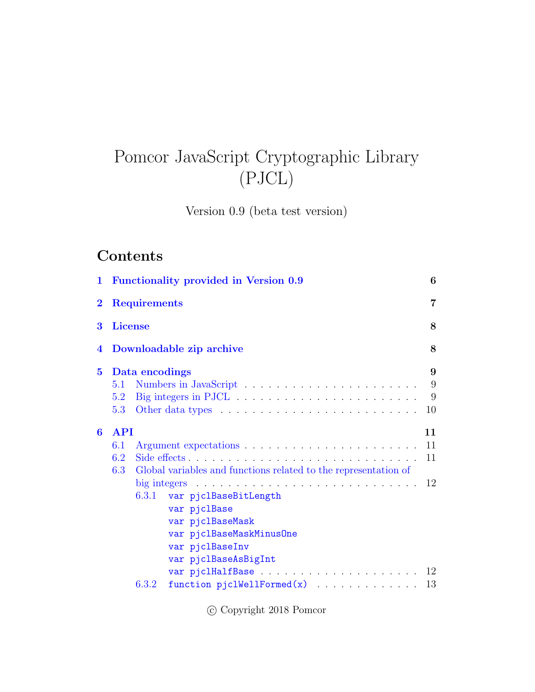# Pomcor JavaScript Cryptographic Library (PJCL)

Version 0.9 (beta test version)

# Contents

|                         | 1 Functionality provided in Version 0.9                                                                                                                                                                                                                      |                            |  |
|-------------------------|--------------------------------------------------------------------------------------------------------------------------------------------------------------------------------------------------------------------------------------------------------------|----------------------------|--|
| $\bf{2}$                | <b>Requirements</b>                                                                                                                                                                                                                                          |                            |  |
| 3                       | <b>License</b>                                                                                                                                                                                                                                               | 8                          |  |
| 4                       | Downloadable zip archive                                                                                                                                                                                                                                     | 8                          |  |
| $\overline{\mathbf{5}}$ | Data encodings<br>5.1<br>5.2<br>5.3                                                                                                                                                                                                                          | 9<br>9<br>9<br>10          |  |
| $\bf{6}$                | <b>API</b><br>6.1<br>Side effects<br>6.2<br>Global variables and functions related to the representation of<br>6.3<br>6.3.1 var pjclBaseBitLength<br>var pjclBase<br>var pjclBaseMask<br>var pjc1BaseMaskMinusOne<br>var pjclBaseInv<br>var pjclBaseAsBigInt | 11<br>11<br>11<br>12<br>12 |  |
|                         | function $pjclWellFormed(x)$<br>6.3.2                                                                                                                                                                                                                        | 13                         |  |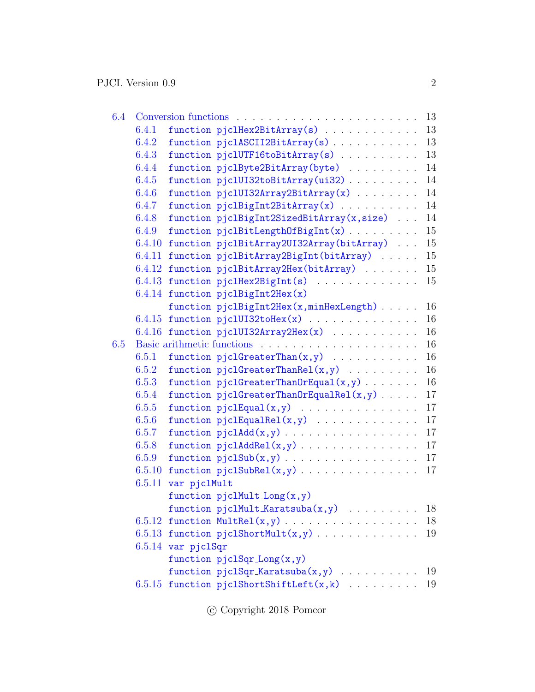| 6.4 |        |                      |                                                      |  | 13 |
|-----|--------|----------------------|------------------------------------------------------|--|----|
|     | 6.4.1  |                      | function pjclHex2BitArray(s)                         |  | 13 |
|     | 6.4.2  |                      | function pjclASCII2BitArray(s)                       |  | 13 |
|     | 6.4.3  |                      | function pjclUTF16toBitArray(s)                      |  | 13 |
|     | 6.4.4  |                      | function pjclByte2BitArray(byte)                     |  | 14 |
|     | 6.4.5  |                      | function pjc1UI32toBitArray(ui32)                    |  | 14 |
|     | 6.4.6  |                      | function pjc1UI32Array2BitArray(x) $\ldots$          |  | 14 |
|     | 6.4.7  |                      | function $piclBigInt2BitArray(x)$                    |  | 14 |
|     | 6.4.8  |                      | function pjclBigInt2SizedBitArray(x,size)            |  | 14 |
|     | 6.4.9  |                      | function pjclBitLengthOfBigInt(x)                    |  | 15 |
|     | 6.4.10 |                      | function pjclBitArray2UI32Array(bitArray)            |  | 15 |
|     | 6.4.11 |                      | function pjclBitArray2BigInt(bitArray)               |  | 15 |
|     |        |                      | 6.4.12 function pjclBitArray2Hex(bitArray)           |  | 15 |
|     |        |                      | 6.4.13 function pjclHex2BigInt(s)                    |  | 15 |
|     |        |                      | $6.4.14$ function pjclBigInt2Hex(x)                  |  |    |
|     |        |                      | function pjclBigInt2Hex(x,minHexLength)              |  | 16 |
|     | 6.4.15 |                      | function $piUU132tollex(x)$                          |  | 16 |
|     |        |                      | $6.4.16$ function pjclUI32Array2Hex(x)               |  | 16 |
| 6.5 |        |                      |                                                      |  | 16 |
|     | 6.5.1  |                      | function $pjclGreaterThan(x,y)$                      |  | 16 |
|     | 6.5.2  |                      | function $pjclGreaterThankel(x,y)$                   |  | 16 |
|     | 6.5.3  |                      | function $pjclGreaterThanOrEqual(x,y) \ldots \ldots$ |  | 16 |
|     | 6.5.4  |                      | function $pjclGreaterThanOrEqualRel(x,y) \ldots$ .   |  | 17 |
|     | 6.5.5  |                      | function $pjclEqual(x,y)$                            |  | 17 |
|     | 6.5.6  |                      | function $pjclEqualRel(x,y)$                         |  | 17 |
|     | 6.5.7  |                      |                                                      |  | 17 |
|     | 6.5.8  |                      | function $pjclAddRel(x,y)$                           |  | 17 |
|     | 6.5.9  |                      |                                                      |  | 17 |
|     | 6.5.10 |                      |                                                      |  | 17 |
|     | 6.5.11 | var pjclMult         |                                                      |  |    |
|     |        |                      | function $pjclMultiLong(x, y)$                       |  |    |
|     |        |                      | function $pjclMult_Karatsuba(x,y)$                   |  | 18 |
|     |        |                      |                                                      |  | 18 |
|     |        |                      | $6.5.13$ function pjclShortMult $(x,y)$              |  | 19 |
|     |        | $6.5.14$ var pjclSqr |                                                      |  |    |
|     |        |                      | function $pjclSqr\_Long(x, y)$                       |  |    |
|     |        |                      | function $piSqr_Karatsuba(x,y)$                      |  | 19 |
|     |        |                      | $6.5.15$ function pjclShortShiftLeft(x,k)            |  | 19 |
|     |        |                      |                                                      |  |    |

 $\copyright$  Copyright 2018 Pomcor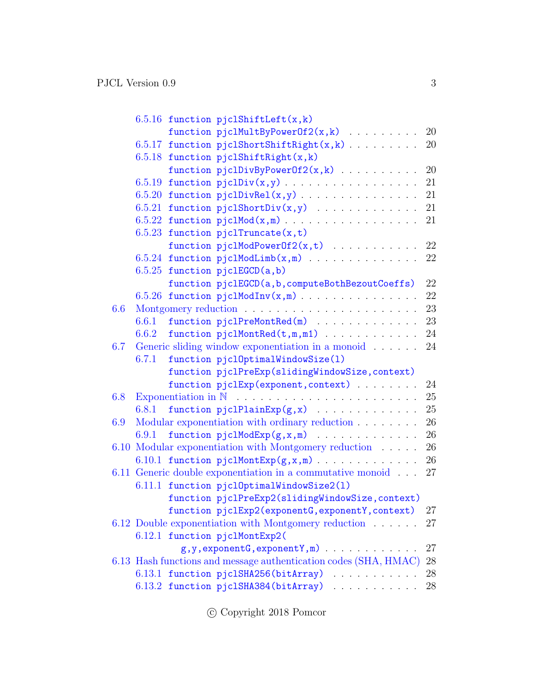|     | $6.5.16$ function pjclShiftLeft(x,k)                                   |        |
|-----|------------------------------------------------------------------------|--------|
|     | function pjclMultByPowerOf2(x,k)  20                                   |        |
|     | $6.5.17$ function pjclShortShiftRight(x,k)                             | 20     |
|     | $6.5.18$ function pjclShiftRight(x,k)                                  |        |
|     | function $pjclDivByPowerOf2(x, k)$                                     | 20     |
|     |                                                                        | 21     |
|     | $6.5.20$ function pjclDivRel(x,y)                                      | 21     |
|     |                                                                        | 21     |
|     |                                                                        | 21     |
|     | 6.5.23 function pjclTruncate $(x, t)$                                  |        |
|     | function $pjclModPowerOf2(x,t)$                                        | 22     |
|     | $6.5.24$ function pjclModLimb(x,m)                                     | 22     |
|     | $6.5.25$ function pjclEGCD $(a, b)$                                    |        |
|     | function pjclEGCD(a,b,computeBothBezoutCoeffs)                         | 22     |
|     | 6.5.26 function $pi(dInv(x,m))$                                        | 22     |
| 6.6 |                                                                        | 23     |
|     | function pjclPreMontRed(m)<br>6.6.1                                    | 23     |
|     | function $pjclMontRed(t,m,m1)$<br>6.6.2                                | 24     |
| 6.7 | Generic sliding window exponentiation in a monoid                      | 24     |
|     | 6.7.1<br>function pjc10ptimalWindowSize(1)                             |        |
|     | function pjclPreExp(slidingWindowSize, context)                        |        |
|     | function pjclExp(exponent, context)                                    | 24     |
| 6.8 |                                                                        | 25     |
|     | function $pjclPlainExp(g, x)$<br>6.8.1                                 | 25     |
| 6.9 | Modular exponentiation with ordinary reduction                         | 26     |
|     | function $pjclModExp(g, x, m)$<br>6.9.1                                | 26     |
|     | 6.10 Modular exponentiation with Montgomery reduction                  | 26     |
|     | 6.10.1 function $pjclMontExp(g, x, m)$                                 | 26     |
|     | 6.11 Generic double exponentiation in a commutative monoid $\ldots$ 27 |        |
|     | 6.11.1 function pjc10ptimalWindowSize2(1)                              |        |
|     | function pjclPreExp2(slidingWindowSize, context)                       |        |
|     | function pjclExp2(exponentG, exponentY, context)                       | 27     |
|     | 6.12 Double exponentiation with Montgomery reduction                   | 27     |
|     | 6.12.1 function pjclMontExp2(                                          |        |
|     |                                                                        | 27     |
|     | 6.13 Hash functions and message authentication codes (SHA, HMAC)       | 28     |
|     | 6.13.1 function pjc1SHA256(bitArray)                                   | 28     |
|     | 6.13.2 function pjc1SHA384(bitArray)                                   | $28\,$ |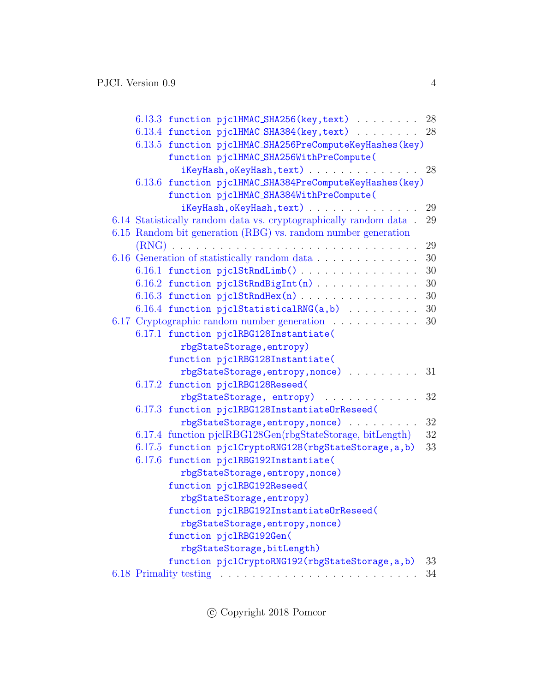|  | 6.13.3 function pjclHMAC_SHA256(key, text)                                | 28     |
|--|---------------------------------------------------------------------------|--------|
|  | 6.13.4 function pjc1HMAC_SHA384(key, text)                                | - 28   |
|  | 6.13.5 function pjclHMAC_SHA256PreComputeKeyHashes(key)                   |        |
|  | function pjc1HMAC_SHA256WithPreCompute(                                   |        |
|  | iKeyHash, oKeyHash, text)                                                 | 28     |
|  | 6.13.6 function pjc1HMAC_SHA384PreComputeKeyHashes(key)                   |        |
|  | function pjc1HMAC_SHA384WithPreCompute(                                   |        |
|  | iKeyHash, oKeyHash, text)                                                 | 29     |
|  | $6.14$ Statistically random data vs. cryptographically random data $\,$ . | 29     |
|  | 6.15 Random bit generation (RBG) vs. random number generation             |        |
|  |                                                                           | 29     |
|  | 6.16 Generation of statistically random data                              | 30     |
|  | 6.16.1 function pjc1StRndLimb()                                           | $30\,$ |
|  | 6.16.2 function pjclStRndBigInt(n)                                        | 30     |
|  | $6.16.3$ function pjclStRndHex(n)                                         | 30     |
|  | 6.16.4 function pjclStatisticalRNG(a,b)                                   | 30     |
|  | 6.17 Cryptographic random number generation                               | 30     |
|  | 6.17.1 function pjc1RBG128Instantiate(                                    |        |
|  | rbgStateStorage, entropy)                                                 |        |
|  | function pjc1RBG128Instantiate(                                           |        |
|  | rbgStateStorage, entropy, nonce)                                          | 31     |
|  | 6.17.2 function pjc1RBG128Reseed(                                         |        |
|  | rbgStateStorage, entropy)<br>.                                            | 32     |
|  | 6.17.3 function pjc1RBG128InstantiateOrReseed(                            |        |
|  | rbgStateStorage, entropy, nonce)                                          | 32     |
|  | 6.17.4 function pjcIRBG128Gen(rbgStateStorage, bitLength)                 | 32     |
|  | 6.17.5 function pjclCryptoRNG128(rbgStateStorage, a, b)                   | 33     |
|  | 6.17.6 function pjc1RBG192Instantiate(                                    |        |
|  | rbgStateStorage, entropy, nonce)                                          |        |
|  | function pjc1RBG192Reseed(                                                |        |
|  | rbgStateStorage, entropy)                                                 |        |
|  | function pjc1RBG192InstantiateOrReseed(                                   |        |
|  | rbgStateStorage, entropy, nonce)                                          |        |
|  | function pjc1RBG192Gen(                                                   |        |
|  | rbgStateStorage, bitLength)                                               |        |
|  | function pjclCryptoRNG192(rbgStateStorage, a, b)                          | 33     |
|  |                                                                           | 34     |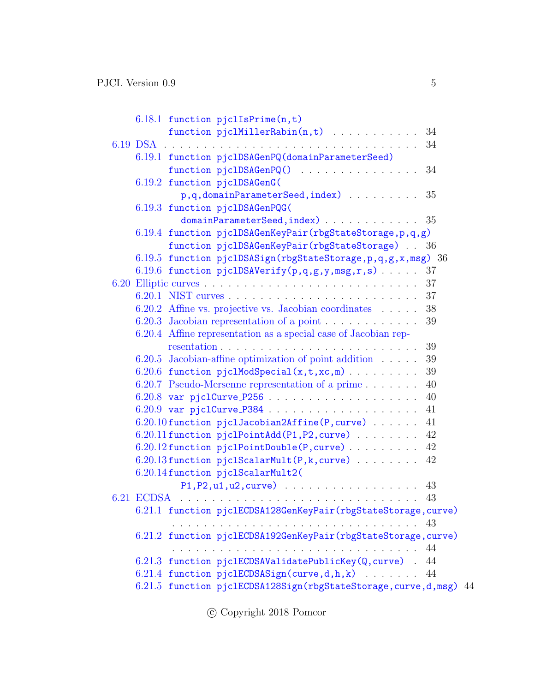| $6.18.1$ function pjclIsPrime $(n, t)$                              |    |
|---------------------------------------------------------------------|----|
| function pjclMillerRabin(n,t) 34                                    |    |
|                                                                     | 34 |
| 6.19.1 function pjc1DSAGenPQ(domainParameterSeed)                   |    |
| function pjc1DSAGenPQ()  34                                         |    |
| 6.19.2 function pjc1DSAGenG(                                        |    |
| $p,q,domainParameterSeed, index)$                                   | 35 |
| 6.19.3 function pjclDSAGenPQG(                                      |    |
| $domainParameterSeed, index)$ 35                                    |    |
| 6.19.4 function pjc1DSAGenKeyPair(rbgStateStorage, p, q, g)         |    |
| function pjc1DSAGenKeyPair(rbgStateStorage)                         | 36 |
| 6.19.5 function pjclDSASign(rbgStateStorage, p, q, g, x, msg) 36    |    |
| 6.19.6 function pjclDSAVerify $(p,q,g,y,msg,r,s)$                   | 37 |
|                                                                     | 37 |
|                                                                     | 37 |
| 6.20.2 Affine vs. projective vs. Jacobian coordinates               | 38 |
|                                                                     | 39 |
| 6.20.4 Affine representation as a special case of Jacobian rep-     |    |
|                                                                     | 39 |
| $6.20.5$ Jacobian-affine optimization of point addition $\dots$ .   | 39 |
| 6.20.6 function $pjclModSpecial(x,t,xc,m)$                          | 39 |
| 6.20.7 Pseudo-Mersenne representation of a prime                    | 40 |
|                                                                     | 40 |
|                                                                     | 41 |
| 6.20.10 function pjclJacobian2Affine(P, curve)                      | 41 |
| 6.20.11 function pjclPointAdd(P1,P2, curve)                         | 42 |
| $6.20.12$ function pjclPointDouble(P, curve)                        | 42 |
| $6.20.13$ function pjclScalarMult(P,k, curve)                       | 42 |
| 6.20.14 function pjclScalarMult2(                                   |    |
|                                                                     | 43 |
|                                                                     | 43 |
| 6.21.1 function pjclECDSA128GenKeyPair(rbgStateStorage, curve)      |    |
|                                                                     |    |
| 6.21.2 function pjclECDSA192GenKeyPair(rbgStateStorage, curve)      |    |
|                                                                     |    |
| 6.21.3 function pjclECDSAValidatePublicKey(Q, curve) . 44           |    |
| 6.21.4 function pjclECDSASign(curve,d,h,k)                          | 44 |
| 6.21.5 function pjclECDSA128Sign(rbgStateStorage, curve, d, msg) 44 |    |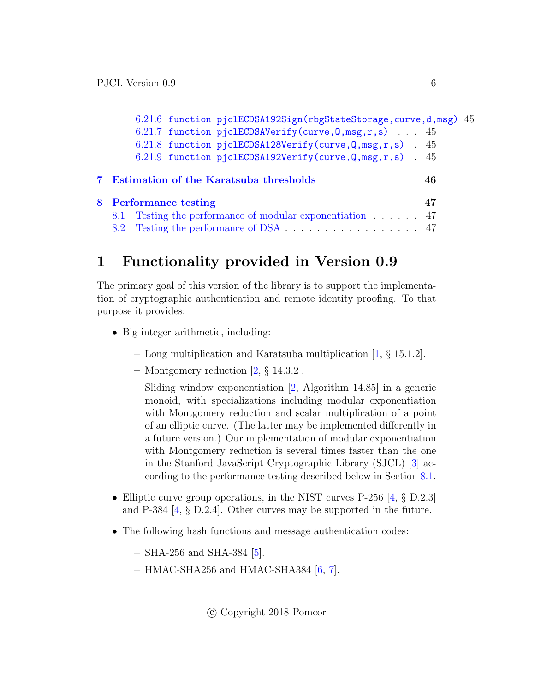| 6.21.6 function pjclECDSA192Sign(rbgStateStorage, curve, d, msg) 45 |    |  |
|---------------------------------------------------------------------|----|--|
| 6.21.7 function pjclECDSAVerify(curve, $Q$ , msg, r, s) 45          |    |  |
| 6.21.8 function pjclECDSA128Verify(curve, $Q$ , msg, r, s) 45       |    |  |
| 6.21.9 function pjclECDSA192Verify(curve, $Q$ , msg, r, s) 45       |    |  |
| 7 Estimation of the Karatsuba thresholds                            | 46 |  |
| 8 Performance testing                                               | 47 |  |
| 8.1 Testing the performance of modular exponentiation 47            |    |  |
| 8.2 Testing the performance of DSA 47                               |    |  |

# <span id="page-5-0"></span>1 Functionality provided in Version 0.9

The primary goal of this version of the library is to support the implementation of cryptographic authentication and remote identity proofing. To that purpose it provides:

- Big integer arithmetic, including:
	- Long multiplication and Karatsuba multiplication [\[1,](#page-49-0) § 15.1.2].
	- Montgomery reduction  $[2, \S 14.3.2]$  $[2, \S 14.3.2]$ .
	- Sliding window exponentiation [\[2,](#page-49-1) Algorithm 14.85] in a generic monoid, with specializations including modular exponentiation with Montgomery reduction and scalar multiplication of a point of an elliptic curve. (The latter may be implemented differently in a future version.) Our implementation of modular exponentiation with Montgomery reduction is several times faster than the one in the Stanford JavaScript Cryptographic Library (SJCL) [\[3\]](#page-49-2) according to the performance testing described below in Section [8.1.](#page-46-1)
- Elliptic curve group operations, in the NIST curves P-256  $[4, \S$  $[4, \S$  D.2.3] and P-384 [\[4,](#page-49-3) § D.2.4]. Other curves may be supported in the future.
- The following hash functions and message authentication codes:
	- $-$  SHA-256 and SHA-384 [\[5\]](#page-49-4).
	- $-$  HMAC-SHA256 and HMAC-SHA384 [\[6,](#page-49-5) [7\]](#page-49-6).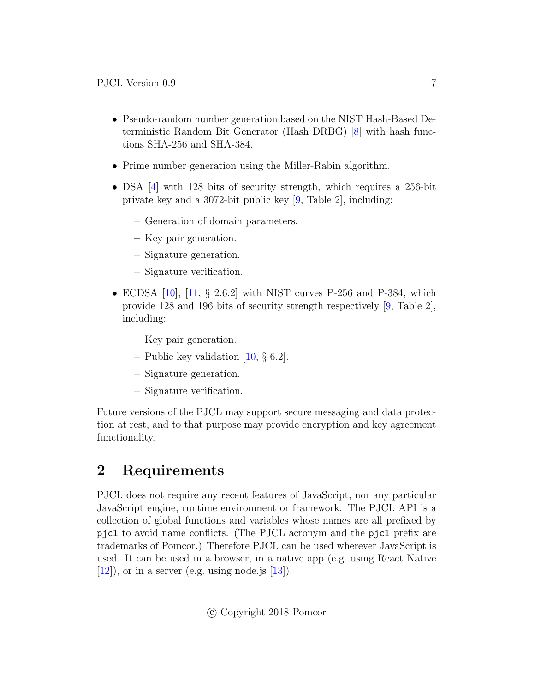- Pseudo-random number generation based on the NIST Hash-Based Deterministic Random Bit Generator (Hash DRBG) [\[8\]](#page-49-7) with hash functions SHA-256 and SHA-384.
- Prime number generation using the Miller-Rabin algorithm.
- DSA [\[4\]](#page-49-3) with 128 bits of security strength, which requires a 256-bit private key and a 3072-bit public key [\[9,](#page-49-8) Table 2], including:
	- Generation of domain parameters.
	- Key pair generation.
	- Signature generation.
	- Signature verification.
- ECDSA  $[10]$ ,  $[11, \S 2.6.2]$  $[11, \S 2.6.2]$  with NIST curves P-256 and P-384, which provide 128 and 196 bits of security strength respectively [\[9,](#page-49-8) Table 2], including:
	- Key pair generation.
	- Public key validation  $[10, \S 6.2]$  $[10, \S 6.2]$ .
	- Signature generation.
	- Signature verification.

Future versions of the PJCL may support secure messaging and data protection at rest, and to that purpose may provide encryption and key agreement functionality.

# <span id="page-6-0"></span>2 Requirements

PJCL does not require any recent features of JavaScript, nor any particular JavaScript engine, runtime environment or framework. The PJCL API is a collection of global functions and variables whose names are all prefixed by pjcl to avoid name conflicts. (The PJCL acronym and the pjcl prefix are trademarks of Pomcor.) Therefore PJCL can be used wherever JavaScript is used. It can be used in a browser, in a native app (e.g. using React Native  $[12]$ , or in a server (e.g. using node.js  $[13]$ ).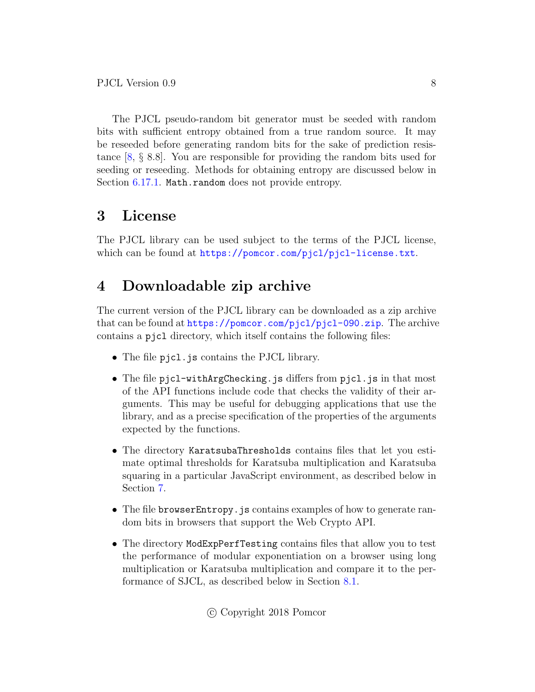The PJCL pseudo-random bit generator must be seeded with random bits with sufficient entropy obtained from a true random source. It may be reseeded before generating random bits for the sake of prediction resistance [\[8,](#page-49-7) § 8.8]. You are responsible for providing the random bits used for seeding or reseeding. Methods for obtaining entropy are discussed below in Section [6.17.1.](#page-30-0) Math.random does not provide entropy.

# <span id="page-7-0"></span>3 License

The PJCL library can be used subject to the terms of the PJCL license, which can be found at <https://pomcor.com/pjcl/pjcl-license.txt>.

# <span id="page-7-1"></span>4 Downloadable zip archive

The current version of the PJCL library can be downloaded as a zip archive that can be found at <https://pomcor.com/pjcl/pjcl-090.zip>. The archive contains a pjcl directory, which itself contains the following files:

- The file pjcl.js contains the PJCL library.
- The file pjcl-withArgChecking.js differs from pjcl.js in that most of the API functions include code that checks the validity of their arguments. This may be useful for debugging applications that use the library, and as a precise specification of the properties of the arguments expected by the functions.
- The directory KaratsubaThresholds contains files that let you estimate optimal thresholds for Karatsuba multiplication and Karatsuba squaring in a particular JavaScript environment, as described below in Section [7.](#page-45-0)
- The file browserEntropy. js contains examples of how to generate random bits in browsers that support the Web Crypto API.
- The directory ModExpPerfTesting contains files that allow you to test the performance of modular exponentiation on a browser using long multiplication or Karatsuba multiplication and compare it to the performance of SJCL, as described below in Section [8.1.](#page-46-1)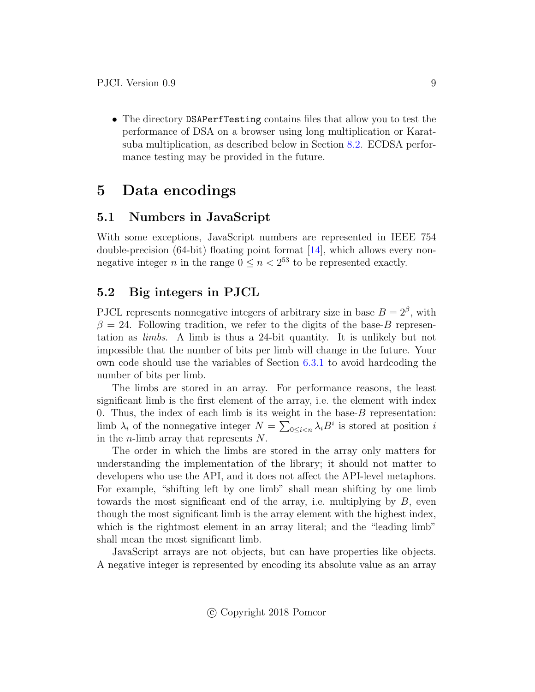• The directory DSAPerfTesting contains files that allow you to test the performance of DSA on a browser using long multiplication or Karatsuba multiplication, as described below in Section [8.2.](#page-46-2) ECDSA performance testing may be provided in the future.

# <span id="page-8-0"></span>5 Data encodings

### <span id="page-8-1"></span>5.1 Numbers in JavaScript

With some exceptions, JavaScript numbers are represented in IEEE 754 double-precision (64-bit) floating point format [\[14\]](#page-50-3), which allows every nonnegative integer *n* in the range  $0 \le n < 2^{53}$  to be represented exactly.

### <span id="page-8-2"></span>5.2 Big integers in PJCL

PJCL represents nonnegative integers of arbitrary size in base  $B = 2^{\beta}$ , with  $\beta = 24$ . Following tradition, we refer to the digits of the base-B representation as limbs. A limb is thus a 24-bit quantity. It is unlikely but not impossible that the number of bits per limb will change in the future. Your own code should use the variables of Section [6.3.1](#page-11-1) to avoid hardcoding the number of bits per limb.

The limbs are stored in an array. For performance reasons, the least significant limb is the first element of the array, i.e. the element with index 0. Thus, the index of each limb is its weight in the base- $B$  representation: limb  $\lambda_i$  of the nonnegative integer  $N = \sum_{0 \leq i < n} \lambda_i B^i$  is stored at position i in the n-limb array that represents N.

The order in which the limbs are stored in the array only matters for understanding the implementation of the library; it should not matter to developers who use the API, and it does not affect the API-level metaphors. For example, "shifting left by one limb" shall mean shifting by one limb towards the most significant end of the array, i.e. multiplying by  $B$ , even though the most significant limb is the array element with the highest index, which is the rightmost element in an array literal; and the "leading limb" shall mean the most significant limb.

JavaScript arrays are not objects, but can have properties like objects. A negative integer is represented by encoding its absolute value as an array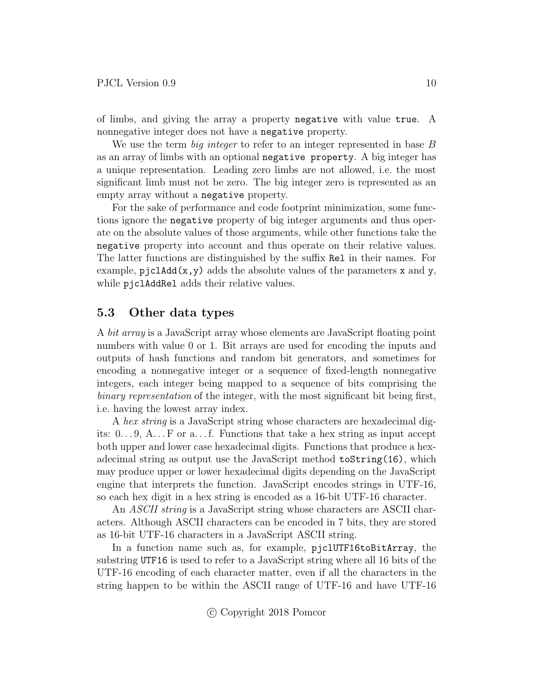of limbs, and giving the array a property negative with value true. A nonnegative integer does not have a negative property.

We use the term *big integer* to refer to an integer represented in base B as an array of limbs with an optional negative property. A big integer has a unique representation. Leading zero limbs are not allowed, i.e. the most significant limb must not be zero. The big integer zero is represented as an empty array without a negative property.

For the sake of performance and code footprint minimization, some functions ignore the negative property of big integer arguments and thus operate on the absolute values of those arguments, while other functions take the negative property into account and thus operate on their relative values. The latter functions are distinguished by the suffix Rel in their names. For example,  $p_j c1 \text{Add}(x,y)$  adds the absolute values of the parameters x and y, while pjclAddRel adds their relative values.

### <span id="page-9-0"></span>5.3 Other data types

A bit array is a JavaScript array whose elements are JavaScript floating point numbers with value 0 or 1. Bit arrays are used for encoding the inputs and outputs of hash functions and random bit generators, and sometimes for encoding a nonnegative integer or a sequence of fixed-length nonnegative integers, each integer being mapped to a sequence of bits comprising the binary representation of the integer, with the most significant bit being first, i.e. having the lowest array index.

A hex string is a JavaScript string whose characters are hexadecimal digits:  $0 \ldots 9$ ,  $A \ldots F$  or a... f. Functions that take a hex string as input accept both upper and lower case hexadecimal digits. Functions that produce a hexadecimal string as output use the JavaScript method toString(16), which may produce upper or lower hexadecimal digits depending on the JavaScript engine that interprets the function. JavaScript encodes strings in UTF-16, so each hex digit in a hex string is encoded as a 16-bit UTF-16 character.

An *ASCII string* is a JavaScript string whose characters are ASCII characters. Although ASCII characters can be encoded in 7 bits, they are stored as 16-bit UTF-16 characters in a JavaScript ASCII string.

In a function name such as, for example, pjclUTF16toBitArray, the substring UTF16 is used to refer to a JavaScript string where all 16 bits of the UTF-16 encoding of each character matter, even if all the characters in the string happen to be within the ASCII range of UTF-16 and have UTF-16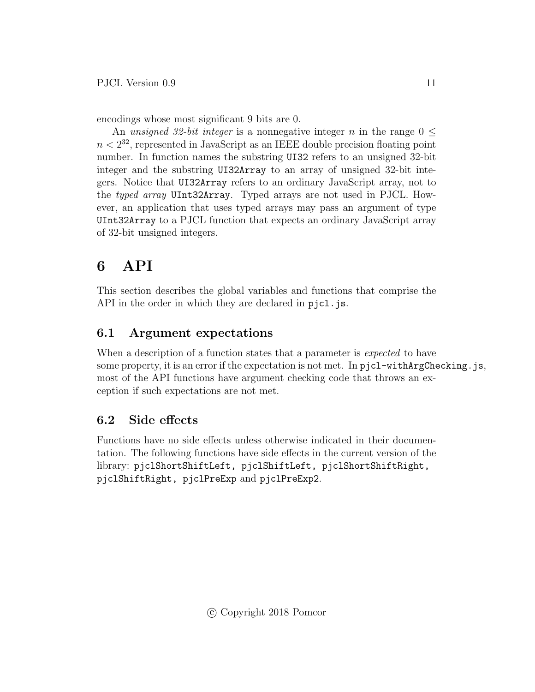encodings whose most significant 9 bits are 0.

An unsigned 32-bit integer is a nonnegative integer n in the range  $0 \leq$  $n < 2^{32}$ , represented in JavaScript as an IEEE double precision floating point number. In function names the substring UI32 refers to an unsigned 32-bit integer and the substring UI32Array to an array of unsigned 32-bit integers. Notice that UI32Array refers to an ordinary JavaScript array, not to the typed array UInt32Array. Typed arrays are not used in PJCL. However, an application that uses typed arrays may pass an argument of type UInt32Array to a PJCL function that expects an ordinary JavaScript array of 32-bit unsigned integers.

# <span id="page-10-0"></span>6 API

This section describes the global variables and functions that comprise the API in the order in which they are declared in pjcl.js.

# <span id="page-10-1"></span>6.1 Argument expectations

When a description of a function states that a parameter is *expected* to have some property, it is an error if the expectation is not met. In  $picl-withArgChecking$ . is, most of the API functions have argument checking code that throws an exception if such expectations are not met.

# <span id="page-10-2"></span>6.2 Side effects

Functions have no side effects unless otherwise indicated in their documentation. The following functions have side effects in the current version of the library: pjclShortShiftLeft, pjclShiftLeft, pjclShortShiftRight, pjclShiftRight, pjclPreExp and pjclPreExp2.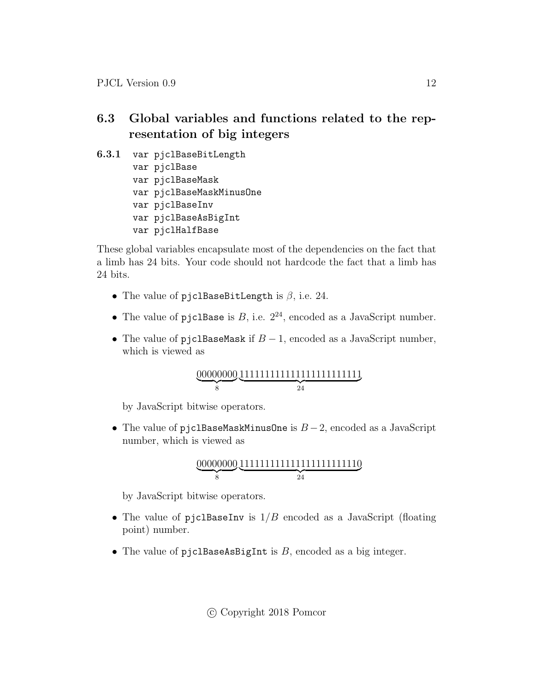# <span id="page-11-0"></span>6.3 Global variables and functions related to the representation of big integers

<span id="page-11-1"></span>6.3.1 var pjclBaseBitLength var pjclBase var pjclBaseMask var pjclBaseMaskMinusOne var pjclBaseInv var pjclBaseAsBigInt var pjclHalfBase

These global variables encapsulate most of the dependencies on the fact that a limb has 24 bits. Your code should not hardcode the fact that a limb has 24 bits.

- The value of pjclBaseBitLength is  $\beta$ , i.e. 24.
- The value of pjc1Base is  $B$ , i.e.  $2^{24}$ , encoded as a JavaScript number.
- The value of pjc1BaseMask if  $B-1$ , encoded as a JavaScript number, which is viewed as

00000000  $\overline{\phantom{a}}$ 111111111111111111111111  $\overline{\smash{24}}$ 

by JavaScript bitwise operators.

• The value of pjc1BaseMaskMinusOne is  $B-2$ , encoded as a JavaScript number, which is viewed as

$$
\underbrace{00000000}_{8} \underbrace{111111111111111111111110}_{24}
$$

by JavaScript bitwise operators.

- The value of pjclBaseInv is  $1/B$  encoded as a JavaScript (floating point) number.
- The value of pjclBaseAsBigInt is  $B$ , encoded as a big integer.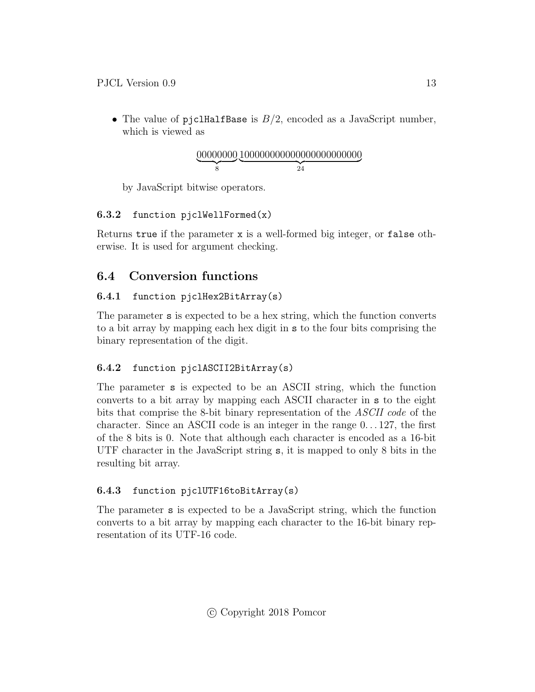• The value of pjclHalfBase is  $B/2$ , encoded as a JavaScript number, which is viewed as

00000000 | {z } 8 100000000000000000000000 | {z } 24

by JavaScript bitwise operators.

### <span id="page-12-0"></span>6.3.2 function pjclWellFormed(x)

Returns true if the parameter x is a well-formed big integer, or false otherwise. It is used for argument checking.

# <span id="page-12-1"></span>6.4 Conversion functions

### <span id="page-12-2"></span>6.4.1 function pjclHex2BitArray(s)

The parameter s is expected to be a hex string, which the function converts to a bit array by mapping each hex digit in s to the four bits comprising the binary representation of the digit.

# <span id="page-12-3"></span>6.4.2 function pjclASCII2BitArray(s)

The parameter s is expected to be an ASCII string, which the function converts to a bit array by mapping each ASCII character in s to the eight bits that comprise the 8-bit binary representation of the ASCII code of the character. Since an ASCII code is an integer in the range 0. . . 127, the first of the 8 bits is 0. Note that although each character is encoded as a 16-bit UTF character in the JavaScript string s, it is mapped to only 8 bits in the resulting bit array.

# <span id="page-12-4"></span>6.4.3 function pjclUTF16toBitArray(s)

The parameter s is expected to be a JavaScript string, which the function converts to a bit array by mapping each character to the 16-bit binary representation of its UTF-16 code.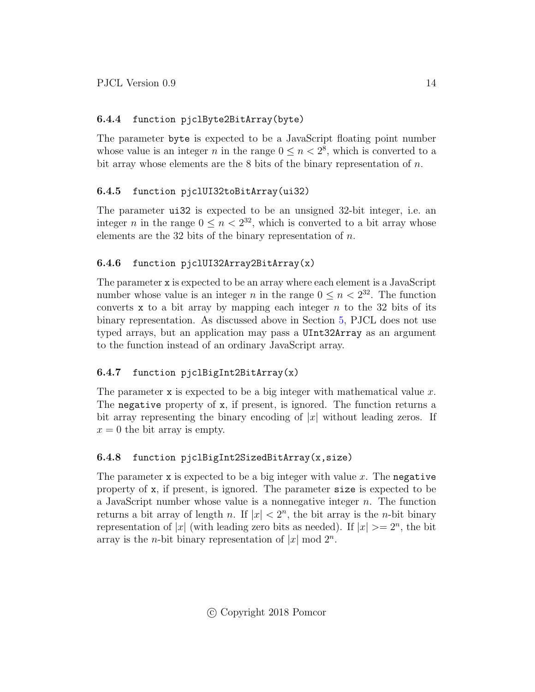### <span id="page-13-0"></span>6.4.4 function pjclByte2BitArray(byte)

The parameter byte is expected to be a JavaScript floating point number whose value is an integer *n* in the range  $0 \le n < 2^8$ , which is converted to a bit array whose elements are the  $8$  bits of the binary representation of  $n$ .

### <span id="page-13-1"></span>6.4.5 function pjclUI32toBitArray(ui32)

The parameter ui32 is expected to be an unsigned 32-bit integer, i.e. an integer *n* in the range  $0 \le n < 2^{32}$ , which is converted to a bit array whose elements are the 32 bits of the binary representation of  $n$ .

### <span id="page-13-2"></span>6.4.6 function pjclUI32Array2BitArray(x)

The parameter x is expected to be an array where each element is a JavaScript number whose value is an integer *n* in the range  $0 \leq n < 2^{32}$ . The function converts x to a bit array by mapping each integer  $n$  to the 32 bits of its binary representation. As discussed above in Section [5,](#page-8-0) PJCL does not use typed arrays, but an application may pass a UInt32Array as an argument to the function instead of an ordinary JavaScript array.

# <span id="page-13-3"></span>6.4.7 function pjclBigInt2BitArray(x)

The parameter  $x$  is expected to be a big integer with mathematical value  $x$ . The negative property of x, if present, is ignored. The function returns a bit array representing the binary encoding of  $|x|$  without leading zeros. If  $x = 0$  the bit array is empty.

# <span id="page-13-4"></span>6.4.8 function pjclBigInt2SizedBitArray(x,size)

The parameter x is expected to be a big integer with value  $x$ . The negative property of x, if present, is ignored. The parameter size is expected to be a JavaScript number whose value is a nonnegative integer n. The function returns a bit array of length n. If  $|x| < 2<sup>n</sup>$ , the bit array is the n-bit binary representation of |x| (with leading zero bits as needed). If  $|x| \geq 2^n$ , the bit array is the *n*-bit binary representation of  $|x| \mod 2^n$ .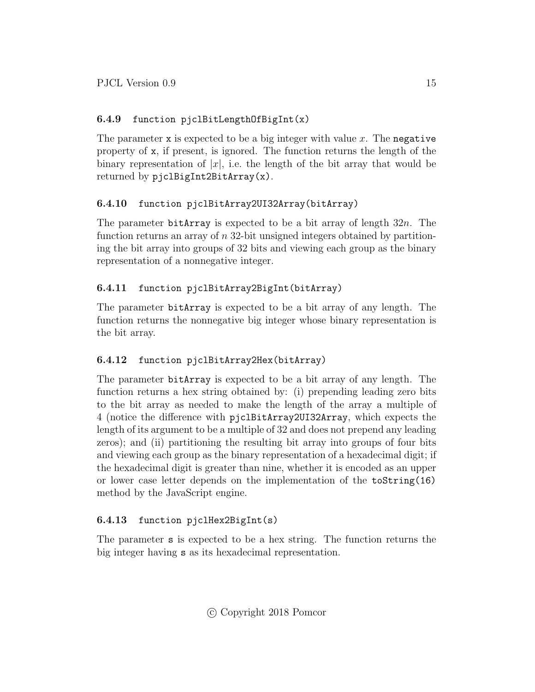### <span id="page-14-0"></span>6.4.9 function pjclBitLengthOfBigInt(x)

The parameter x is expected to be a big integer with value  $x$ . The negative property of x, if present, is ignored. The function returns the length of the binary representation of  $|x|$ , i.e. the length of the bit array that would be returned by pjclBigInt2BitArray(x).

### <span id="page-14-1"></span>6.4.10 function pjclBitArray2UI32Array(bitArray)

The parameter bitArray is expected to be a bit array of length  $32n$ . The function returns an array of  $n$  32-bit unsigned integers obtained by partitioning the bit array into groups of 32 bits and viewing each group as the binary representation of a nonnegative integer.

### <span id="page-14-2"></span>6.4.11 function pjclBitArray2BigInt(bitArray)

The parameter bitArray is expected to be a bit array of any length. The function returns the nonnegative big integer whose binary representation is the bit array.

### <span id="page-14-3"></span>6.4.12 function pjclBitArray2Hex(bitArray)

The parameter bitArray is expected to be a bit array of any length. The function returns a hex string obtained by: (i) prepending leading zero bits to the bit array as needed to make the length of the array a multiple of 4 (notice the difference with pjclBitArray2UI32Array, which expects the length of its argument to be a multiple of 32 and does not prepend any leading zeros); and (ii) partitioning the resulting bit array into groups of four bits and viewing each group as the binary representation of a hexadecimal digit; if the hexadecimal digit is greater than nine, whether it is encoded as an upper or lower case letter depends on the implementation of the toString(16) method by the JavaScript engine.

### <span id="page-14-4"></span>6.4.13 function pjclHex2BigInt(s)

The parameter s is expected to be a hex string. The function returns the big integer having s as its hexadecimal representation.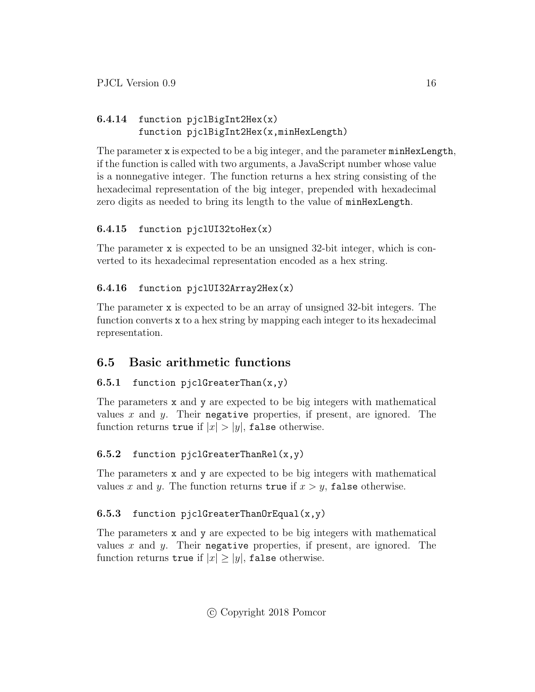# <span id="page-15-0"></span>6.4.14 function pjclBigInt2Hex(x) function pjclBigInt2Hex(x,minHexLength)

The parameter x is expected to be a big integer, and the parameter minHexLength, if the function is called with two arguments, a JavaScript number whose value is a nonnegative integer. The function returns a hex string consisting of the hexadecimal representation of the big integer, prepended with hexadecimal zero digits as needed to bring its length to the value of minHexLength.

# <span id="page-15-1"></span>6.4.15 function pjclUI32toHex(x)

The parameter x is expected to be an unsigned 32-bit integer, which is converted to its hexadecimal representation encoded as a hex string.

# <span id="page-15-2"></span>6.4.16 function pjclUI32Array2Hex(x)

The parameter x is expected to be an array of unsigned 32-bit integers. The function converts x to a hex string by mapping each integer to its hexadecimal representation.

# <span id="page-15-3"></span>6.5 Basic arithmetic functions

### <span id="page-15-4"></span>6.5.1 function pjclGreaterThan $(x, y)$

The parameters x and y are expected to be big integers with mathematical values x and y. Their negative properties, if present, are ignored. The function returns true if  $|x| > |y|$ , false otherwise.

### <span id="page-15-5"></span>6.5.2 function pjclGreaterThanRel(x,y)

The parameters x and y are expected to be big integers with mathematical values x and y. The function returns true if  $x > y$ , false otherwise.

### <span id="page-15-6"></span>6.5.3 function pjclGreaterThanOrEqual(x,y)

The parameters x and y are expected to be big integers with mathematical values x and y. Their negative properties, if present, are ignored. The function returns true if  $|x| \ge |y|$ , false otherwise.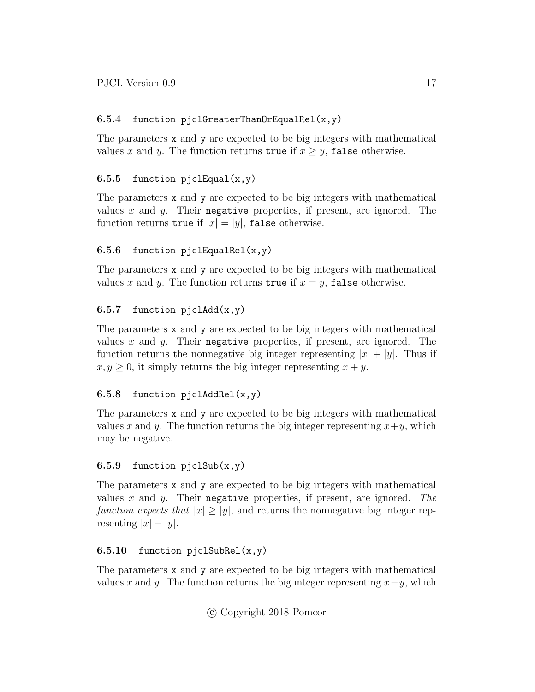### <span id="page-16-0"></span>6.5.4 function pjclGreaterThanOrEqualRel(x,y)

The parameters x and y are expected to be big integers with mathematical values x and y. The function returns true if  $x \geq y$ , false otherwise.

### <span id="page-16-1"></span>6.5.5 function pjclEqual $(x,y)$

The parameters x and y are expected to be big integers with mathematical values x and y. Their negative properties, if present, are ignored. The function returns true if  $|x| = |y|$ , false otherwise.

### <span id="page-16-2"></span>6.5.6 function pjclEqualRel( $x,y$ )

The parameters x and y are expected to be big integers with mathematical values x and y. The function returns true if  $x = y$ , false otherwise.

### <span id="page-16-3"></span>6.5.7 function  $p_jc1Add(x,y)$

The parameters x and y are expected to be big integers with mathematical values x and y. Their negative properties, if present, are ignored. The function returns the nonnegative big integer representing  $|x| + |y|$ . Thus if  $x, y \geq 0$ , it simply returns the big integer representing  $x + y$ .

### <span id="page-16-4"></span>6.5.8 function pjclAddRel $(x,y)$

The parameters x and y are expected to be big integers with mathematical values x and y. The function returns the big integer representing  $x+y$ , which may be negative.

### <span id="page-16-5"></span>6.5.9 function  $piclSub(x,y)$

The parameters x and y are expected to be big integers with mathematical values x and y. Their negative properties, if present, are ignored. The function expects that  $|x| \ge |y|$ , and returns the nonnegative big integer representing  $|x| - |y|$ .

### <span id="page-16-6"></span>6.5.10 function pjclSubRel $(x,y)$

The parameters x and y are expected to be big integers with mathematical values x and y. The function returns the big integer representing  $x-y$ , which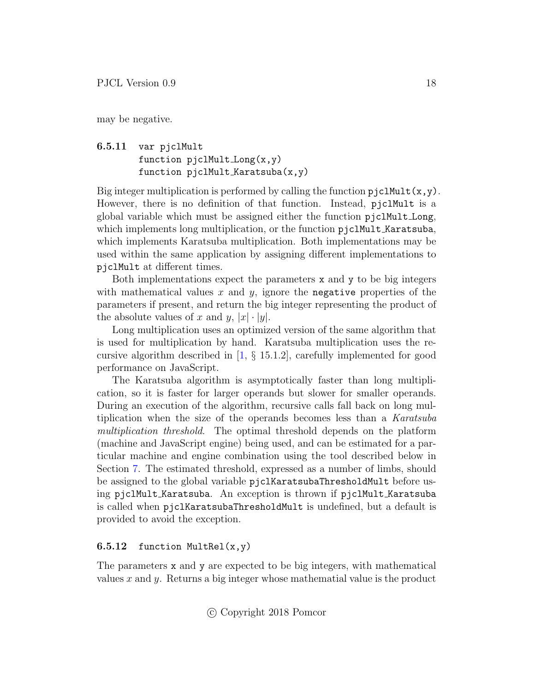may be negative.

### <span id="page-17-0"></span>6.5.11 var pjclMult function pjclMult Long(x,y) function pjclMult Karatsuba(x,y)

Big integer multiplication is performed by calling the function  $pjclMult(x,y)$ . However, there is no definition of that function. Instead, pjclMult is a global variable which must be assigned either the function pjclMult Long, which implements long multiplication, or the function pjclMult Karatsuba, which implements Karatsuba multiplication. Both implementations may be used within the same application by assigning different implementations to pjclMult at different times.

Both implementations expect the parameters  $x$  and  $y$  to be big integers with mathematical values  $x$  and  $y$ , ignore the negative properties of the parameters if present, and return the big integer representing the product of the absolute values of x and y,  $|x| \cdot |y|$ .

Long multiplication uses an optimized version of the same algorithm that is used for multiplication by hand. Karatsuba multiplication uses the recursive algorithm described in [\[1,](#page-49-0) § 15.1.2], carefully implemented for good performance on JavaScript.

The Karatsuba algorithm is asymptotically faster than long multiplication, so it is faster for larger operands but slower for smaller operands. During an execution of the algorithm, recursive calls fall back on long multiplication when the size of the operands becomes less than a Karatsuba multiplication threshold. The optimal threshold depends on the platform (machine and JavaScript engine) being used, and can be estimated for a particular machine and engine combination using the tool described below in Section [7.](#page-45-0) The estimated threshold, expressed as a number of limbs, should be assigned to the global variable pjclKaratsubaThresholdMult before using pjclMult Karatsuba. An exception is thrown if pjclMult Karatsuba is called when pjclKaratsubaThresholdMult is undefined, but a default is provided to avoid the exception.

#### <span id="page-17-1"></span>6.5.12 function MultRel $(x,y)$

The parameters x and y are expected to be big integers, with mathematical values  $x$  and  $y$ . Returns a big integer whose mathematial value is the product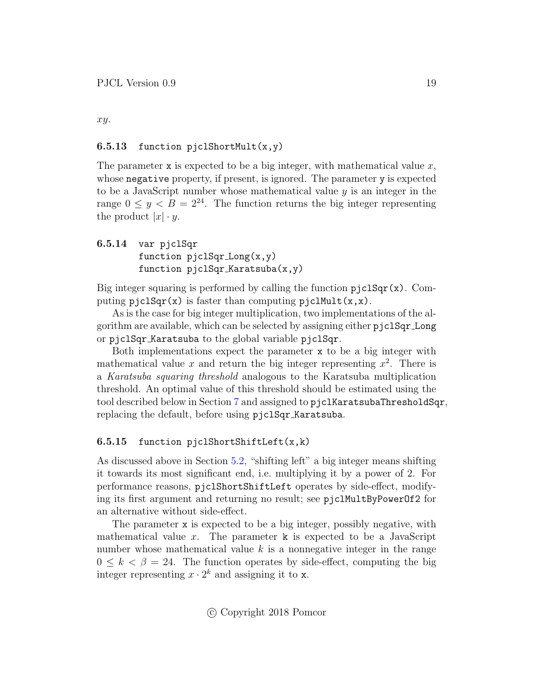xy.

#### <span id="page-18-0"></span>6.5.13 function pjclShortMult $(x,y)$

The parameter x is expected to be a big integer, with mathematical value  $x$ , whose negative property, if present, is ignored. The parameter y is expected to be a JavaScript number whose mathematical value y is an integer in the range  $0 \le y < B = 2^{24}$ . The function returns the big integer representing the product  $|x| \cdot y$ .

### <span id="page-18-1"></span>6.5.14 var pjclSqr function pjclSqr Long(x,y) function pjclSqr Karatsuba(x,y)

Big integer squaring is performed by calling the function  $pjclSqr(x)$ . Computing  $pjclSqr(x)$  is faster than computing  $pjclMult(x, x)$ .

As is the case for big integer multiplication, two implementations of the algorithm are available, which can be selected by assigning either pjclSqr Long or pjclSqr Karatsuba to the global variable pjclSqr.

Both implementations expect the parameter x to be a big integer with mathematical value x and return the big integer representing  $x^2$ . There is a Karatsuba squaring threshold analogous to the Karatsuba multiplication threshold. An optimal value of this threshold should be estimated using the tool described below in Section [7](#page-45-0) and assigned to pjclKaratsubaThresholdSqr, replacing the default, before using pjclSqr Karatsuba.

#### <span id="page-18-2"></span>6.5.15 function pjclShortShiftLeft(x,k)

As discussed above in Section [5.2,](#page-8-2) "shifting left" a big integer means shifting it towards its most significant end, i.e. multiplying it by a power of 2. For performance reasons, pjclShortShiftLeft operates by side-effect, modifying its first argument and returning no result; see pjclMultByPowerOf2 for an alternative without side-effect.

The parameter x is expected to be a big integer, possibly negative, with mathematical value x. The parameter  $\bf{k}$  is expected to be a JavaScript number whose mathematical value  $k$  is a nonnegative integer in the range  $0 \leq k < \beta = 24$ . The function operates by side-effect, computing the big integer representing  $x \cdot 2^k$  and assigning it to x.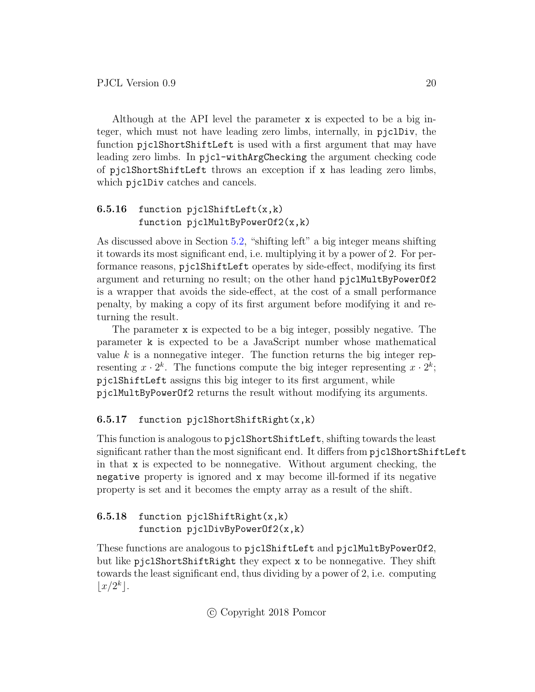Although at the API level the parameter x is expected to be a big integer, which must not have leading zero limbs, internally, in pjclDiv, the function pjclShortShiftLeft is used with a first argument that may have leading zero limbs. In pjcl-withArgChecking the argument checking code of pjclShortShiftLeft throws an exception if x has leading zero limbs, which  $pi$ iclDiv catches and cancels.

### <span id="page-19-0"></span>6.5.16 function pjclShiftLeft $(x, k)$ function pjclMultByPowerOf2(x,k)

As discussed above in Section [5.2,](#page-8-2) "shifting left" a big integer means shifting it towards its most significant end, i.e. multiplying it by a power of 2. For performance reasons, pjclShiftLeft operates by side-effect, modifying its first argument and returning no result; on the other hand pjclMultByPowerOf2 is a wrapper that avoids the side-effect, at the cost of a small performance penalty, by making a copy of its first argument before modifying it and returning the result.

The parameter x is expected to be a big integer, possibly negative. The parameter k is expected to be a JavaScript number whose mathematical value  $k$  is a nonnegative integer. The function returns the big integer representing  $x \cdot 2^k$ . The functions compute the big integer representing  $x \cdot 2^k$ ; pjclShiftLeft assigns this big integer to its first argument, while pjclMultByPowerOf2 returns the result without modifying its arguments.

### <span id="page-19-1"></span>6.5.17 function pjclShortShiftRight $(x, k)$

This function is analogous to pjclShortShiftLeft, shifting towards the least significant rather than the most significant end. It differs from pjclShortShiftLeft in that x is expected to be nonnegative. Without argument checking, the negative property is ignored and x may become ill-formed if its negative property is set and it becomes the empty array as a result of the shift.

<span id="page-19-2"></span>

|  |  | 6.5.18 function pjclShiftRight $(x, k)$ |
|--|--|-----------------------------------------|
|  |  | function $pjclDivByPowerOf2(x, k)$      |

These functions are analogous to pjc1ShiftLeft and pjc1MultByPowerOf2, but like pjclShortShiftRight they expect x to be nonnegative. They shift towards the least significant end, thus dividing by a power of 2, i.e. computing  $\lfloor x/2^k \rfloor$ .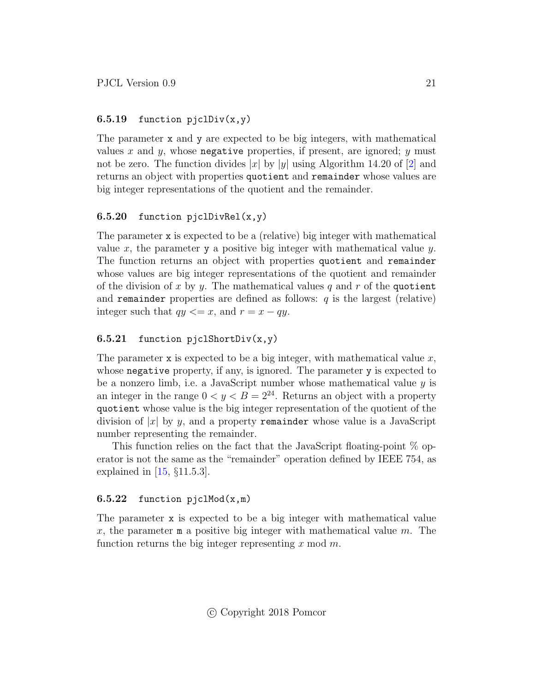#### <span id="page-20-0"></span>6.5.19 function  $pi(1)$ iv $(x, y)$

The parameter x and y are expected to be big integers, with mathematical values x and y, whose negative properties, if present, are ignored; y must not be zero. The function divides |x| by |y| using Algorithm 14.20 of [\[2\]](#page-49-1) and returns an object with properties quotient and remainder whose values are big integer representations of the quotient and the remainder.

#### <span id="page-20-1"></span>6.5.20 function pjclDivRel $(x,y)$

The parameter x is expected to be a (relative) big integer with mathematical value x, the parameter y a positive big integer with mathematical value  $y$ . The function returns an object with properties quotient and remainder whose values are big integer representations of the quotient and remainder of the division of x by y. The mathematical values q and r of the quotient and remainder properties are defined as follows:  $q$  is the largest (relative) integer such that  $qy \leq x$ , and  $r = x - qy$ .

#### <span id="page-20-2"></span>6.5.21 function pjclShortDiv(x,y)

The parameter x is expected to be a big integer, with mathematical value  $x$ , whose negative property, if any, is ignored. The parameter y is expected to be a nonzero limb, i.e. a JavaScript number whose mathematical value  $y$  is an integer in the range  $0 < y < B = 2^{24}$ . Returns an object with a property quotient whose value is the big integer representation of the quotient of the division of  $|x|$  by y, and a property remainder whose value is a JavaScript number representing the remainder.

This function relies on the fact that the JavaScript floating-point % operator is not the same as the "remainder" operation defined by IEEE 754, as explained in [\[15,](#page-50-4) §11.5.3].

#### <span id="page-20-3"></span>6.5.22 function  $pjclMod(x,m)$

The parameter x is expected to be a big integer with mathematical value x, the parameter  $m$  a positive big integer with mathematical value m. The function returns the big integer representing  $x \mod m$ .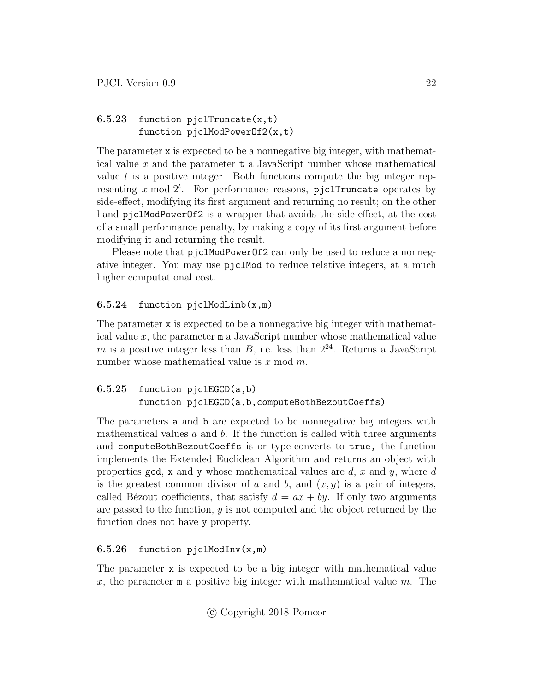### <span id="page-21-0"></span>6.5.23 function pjclTruncate $(x,t)$ function pjclModPowerOf2(x,t)

The parameter x is expected to be a nonnegative big integer, with mathematical value  $x$  and the parameter  $t$  a JavaScript number whose mathematical value  $t$  is a positive integer. Both functions compute the big integer representing  $x \mod 2^t$ . For performance reasons, pjclTruncate operates by side-effect, modifying its first argument and returning no result; on the other hand pjclModPowerOf2 is a wrapper that avoids the side-effect, at the cost of a small performance penalty, by making a copy of its first argument before modifying it and returning the result.

Please note that pjclModPowerOf2 can only be used to reduce a nonnegative integer. You may use pjclMod to reduce relative integers, at a much higher computational cost.

### <span id="page-21-1"></span>6.5.24 function pjclModLimb(x,m)

The parameter x is expected to be a nonnegative big integer with mathematical value  $x$ , the parameter  $m$  a JavaScript number whose mathematical value m is a positive integer less than  $B$ , i.e. less than  $2^{24}$ . Returns a JavaScript number whose mathematical value is  $x \mod m$ .

### <span id="page-21-2"></span>6.5.25 function pjclEGCD(a,b) function pjclEGCD(a,b,computeBothBezoutCoeffs)

The parameters a and b are expected to be nonnegative big integers with mathematical values  $a$  and  $b$ . If the function is called with three arguments and computeBothBezoutCoeffs is or type-converts to true, the function implements the Extended Euclidean Algorithm and returns an object with properties gcd, x and y whose mathematical values are d, x and y, where d is the greatest common divisor of a and b, and  $(x, y)$  is a pair of integers, called Bézout coefficients, that satisfy  $d = ax + by$ . If only two arguments are passed to the function, y is not computed and the object returned by the function does not have y property.

### <span id="page-21-3"></span>6.5.26 function pjclModInv(x,m)

The parameter x is expected to be a big integer with mathematical value x, the parameter  $m$  a positive big integer with mathematical value m. The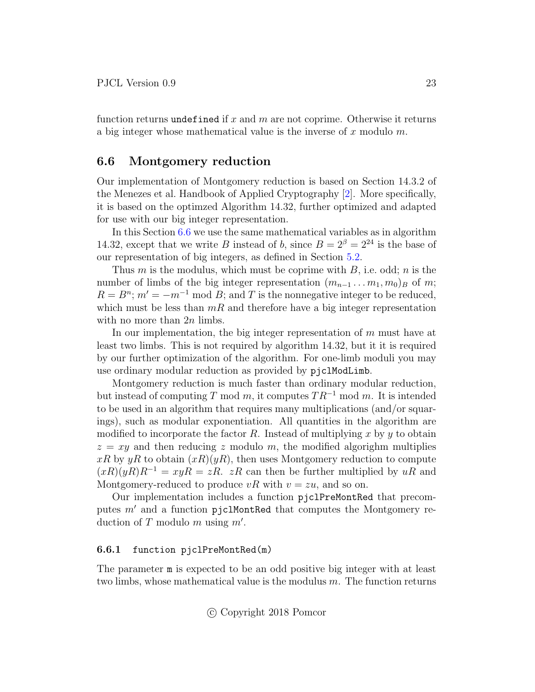function returns undefined if x and m are not coprime. Otherwise it returns a big integer whose mathematical value is the inverse of  $x$  modulo  $m$ .

#### <span id="page-22-0"></span>6.6 Montgomery reduction

Our implementation of Montgomery reduction is based on Section 14.3.2 of the Menezes et al. Handbook of Applied Cryptography [\[2\]](#page-49-1). More specifically, it is based on the optimzed Algorithm 14.32, further optimized and adapted for use with our big integer representation.

In this Section [6.6](#page-22-0) we use the same mathematical variables as in algorithm 14.32, except that we write B instead of b, since  $B = 2^{\beta} = 2^{24}$  is the base of our representation of big integers, as defined in Section [5.2.](#page-8-2)

Thus m is the modulus, which must be coprime with  $B$ , i.e. odd; n is the number of limbs of the big integer representation  $(m_{n-1} \ldots m_1, m_0)_B$  of m;  $R = B^{n}$ ;  $m' = -m^{-1}$  mod B; and T is the nonnegative integer to be reduced, which must be less than  $mR$  and therefore have a big integer representation with no more than  $2n$  limbs.

In our implementation, the big integer representation of  $m$  must have at least two limbs. This is not required by algorithm 14.32, but it it is required by our further optimization of the algorithm. For one-limb moduli you may use ordinary modular reduction as provided by pjclModLimb.

Montgomery reduction is much faster than ordinary modular reduction, but instead of computing T mod m, it computes  $TR^{-1}$  mod m. It is intended to be used in an algorithm that requires many multiplications (and/or squarings), such as modular exponentiation. All quantities in the algorithm are modified to incorporate the factor R. Instead of multiplying x by y to obtain  $z = xy$  and then reducing z modulo m, the modified algorighm multiplies  $xR$  by  $yR$  to obtain  $(xR)(yR)$ , then uses Montgomery reduction to compute  $(xR)(yR)R^{-1} = xyR = zR$ . zR can then be further multiplied by uR and Montgomery-reduced to produce vR with  $v = zu$ , and so on.

Our implementation includes a function pjclPreMontRed that precomputes  $m'$  and a function pjclMontRed that computes the Montgomery reduction of T modulo m using  $m'$ .

#### <span id="page-22-1"></span>6.6.1 function pjclPreMontRed(m)

The parameter m is expected to be an odd positive big integer with at least two limbs, whose mathematical value is the modulus  $m$ . The function returns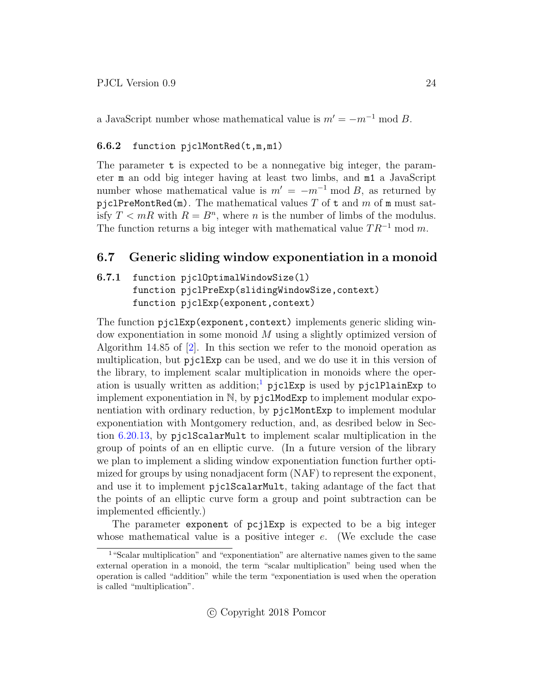a JavaScript number whose mathematical value is  $m' = -m^{-1} \mod B$ .

#### <span id="page-23-0"></span>6.6.2 function pjclMontRed(t,m,m1)

The parameter t is expected to be a nonnegative big integer, the parameter m an odd big integer having at least two limbs, and m1 a JavaScript number whose mathematical value is  $m' = -m^{-1} \mod B$ , as returned by pjclPreMontRed(m). The mathematical values  $T$  of  $t$  and  $m$  of m must satisfy  $T < mR$  with  $R = B<sup>n</sup>$ , where *n* is the number of limbs of the modulus. The function returns a big integer with mathematical value  $TR^{-1} \mod m$ .

### <span id="page-23-1"></span>6.7 Generic sliding window exponentiation in a monoid

### <span id="page-23-2"></span>6.7.1 function pjclOptimalWindowSize(l) function pjclPreExp(slidingWindowSize,context) function pjclExp(exponent,context)

The function pjclExp(exponent,context) implements generic sliding window exponentiation in some monoid M using a slightly optimized version of Algorithm 14.85 of  $[2]$ . In this section we refer to the monoid operation as multiplication, but pjclExp can be used, and we do use it in this version of the library, to implement scalar multiplication in monoids where the oper-ation is usually written as addition;<sup>[1](#page-23-3)</sup> pjclExp is used by pjclPlainExp to implement exponentiation in  $\mathbb{N}$ , by  $p_j \in \mathbb{N}$  implement modular exponentiation with ordinary reduction, by pjclMontExp to implement modular exponentiation with Montgomery reduction, and, as desribed below in Section [6.20.13,](#page-41-2) by pjclScalarMult to implement scalar multiplication in the group of points of an en elliptic curve. (In a future version of the library we plan to implement a sliding window exponentiation function further optimized for groups by using nonadjacent form (NAF) to represent the exponent, and use it to implement pjclScalarMult, taking adantage of the fact that the points of an elliptic curve form a group and point subtraction can be implemented efficiently.)

The parameter exponent of pcjlExp is expected to be a big integer whose mathematical value is a positive integer  $e$ . (We exclude the case

<span id="page-23-3"></span><sup>1</sup>"Scalar multiplication" and "exponentiation" are alternative names given to the same external operation in a monoid, the term "scalar multiplication" being used when the operation is called "addition" while the term "exponentiation is used when the operation is called "multiplication".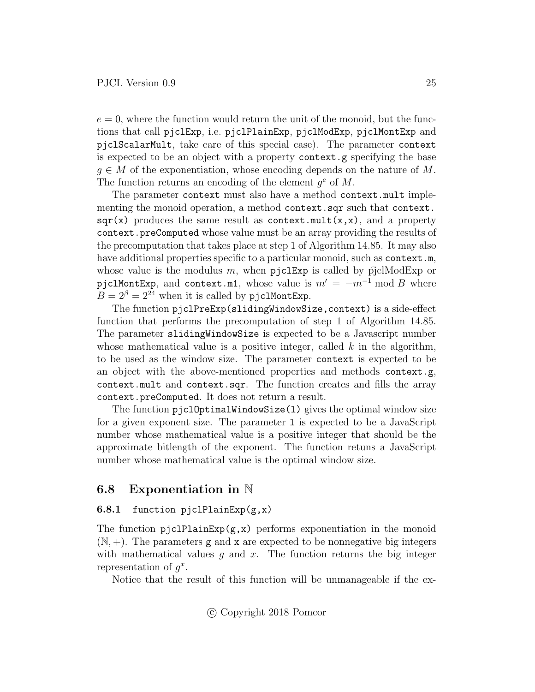$e = 0$ , where the function would return the unit of the monoid, but the functions that call pjclExp, i.e. pjclPlainExp, pjclModExp, pjclMontExp and pjclScalarMult, take care of this special case). The parameter context is expected to be an object with a property context.g specifying the base  $g \in M$  of the exponentiation, whose encoding depends on the nature of M. The function returns an encoding of the element  $g^e$  of M.

The parameter context must also have a method context.mult implementing the monoid operation, a method context.sqr such that context.  $\text{sqrt}(x)$  produces the same result as context.mult $(x, x)$ , and a property context.preComputed whose value must be an array providing the results of the precomputation that takes place at step 1 of Algorithm 14.85. It may also have additional properties specific to a particular monoid, such as context.m, whose value is the modulus m, when  $pi$ clExp is called by  $pi$ clModExp or pjclMontExp, and context.m1, whose value is  $m' = -m^{-1} \mod B$  where  $B = 2^{\beta} = 2^{24}$  when it is called by pjclMontExp.

The function pjclPreExp(slidingWindowSize,context) is a side-effect function that performs the precomputation of step 1 of Algorithm 14.85. The parameter slidingWindowSize is expected to be a Javascript number whose mathematical value is a positive integer, called  $k$  in the algorithm, to be used as the window size. The parameter context is expected to be an object with the above-mentioned properties and methods context.g, context.mult and context.sqr. The function creates and fills the array context.preComputed. It does not return a result.

The function pjc10ptimalWindowSize(1) gives the optimal window size for a given exponent size. The parameter l is expected to be a JavaScript number whose mathematical value is a positive integer that should be the approximate bitlength of the exponent. The function retuns a JavaScript number whose mathematical value is the optimal window size.

### <span id="page-24-0"></span>6.8 Exponentiation in N

#### <span id="page-24-1"></span>6.8.1 function pjclPlainExp $(g, x)$

The function  $pjclPlainExp(g, x)$  performs exponentiation in the monoid  $(N, +)$ . The parameters g and x are expected to be nonnegative big integers with mathematical values  $g$  and  $x$ . The function returns the big integer representation of  $g^x$ .

Notice that the result of this function will be unmanageable if the ex-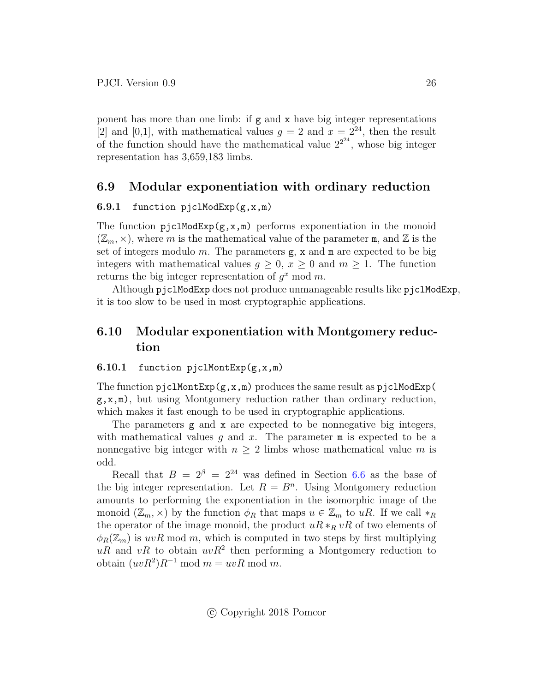ponent has more than one limb: if  $g$  and  $x$  have big integer representations [2] and [0,1], with mathematical values  $g = 2$  and  $x = 2^{24}$ , then the result of the function should have the mathematical value  $2^{2^{24}}$ , whose big integer representation has 3,659,183 limbs.

### <span id="page-25-0"></span>6.9 Modular exponentiation with ordinary reduction

#### <span id="page-25-1"></span>6.9.1 function pjclModExp(g,x,m)

The function  $pjclModExp(g, x, m)$  performs exponentiation in the monoid  $(\mathbb{Z}_m, \times)$ , where m is the mathematical value of the parameter m, and  $\mathbb Z$  is the set of integers modulo  $m$ . The parameters  $g$ ,  $x$  and  $m$  are expected to be big integers with mathematical values  $q \geq 0$ ,  $x \geq 0$  and  $m \geq 1$ . The function returns the big integer representation of  $g^x$  mod m.

Although pjclModExp does not produce unmanageable results like pjclModExp, it is too slow to be used in most cryptographic applications.

# <span id="page-25-2"></span>6.10 Modular exponentiation with Montgomery reduction

#### <span id="page-25-3"></span>6.10.1 function pjclMontExp $(g, x, m)$

The function  $p_j \text{clMontExp}(g, x, m)$  produces the same result as  $p_j \text{clModExp}(g, x, m)$  $g, x, m$ , but using Montgomery reduction rather than ordinary reduction, which makes it fast enough to be used in cryptographic applications.

The parameters g and x are expected to be nonnegative big integers, with mathematical values  $g$  and  $x$ . The parameter  $m$  is expected to be a nonnegative big integer with  $n \geq 2$  limbs whose mathematical value m is odd.

Recall that  $B = 2^{\beta} = 2^{24}$  was defined in Section [6.6](#page-22-0) as the base of the big integer representation. Let  $R = B<sup>n</sup>$ . Using Montgomery reduction amounts to performing the exponentiation in the isomorphic image of the monoid  $(\mathbb{Z}_m, \times)$  by the function  $\phi_R$  that maps  $u \in \mathbb{Z}_m$  to uR. If we call  $*_R$ the operator of the image monoid, the product  $uR *_R vR$  of two elements of  $\phi_R(\mathbb{Z}_m)$  is  $uvR \mod m$ , which is computed in two steps by first multiplying  $uR$  and  $vR$  to obtain  $uvR<sup>2</sup>$  then performing a Montgomery reduction to obtain  $(uvR^2)R^{-1}$  mod  $m = uvR$  mod m.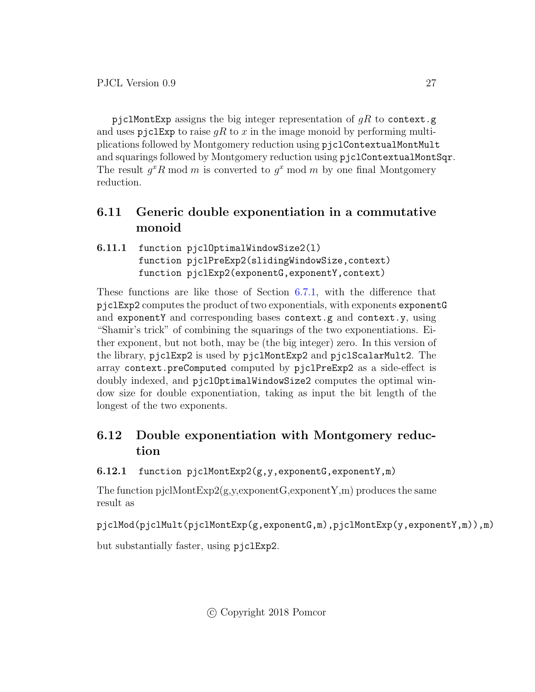pjclMontExp assigns the big integer representation of  $gR$  to context.g and uses pjclExp to raise  $qR$  to x in the image monoid by performing multiplications followed by Montgomery reduction using pjclContextualMontMult and squarings followed by Montgomery reduction using pjclContextualMontSqr. The result  $g^x R \mod m$  is converted to  $g^x \mod m$  by one final Montgomery reduction.

# <span id="page-26-0"></span>6.11 Generic double exponentiation in a commutative monoid

<span id="page-26-1"></span>6.11.1 function pjclOptimalWindowSize2(l) function pjclPreExp2(slidingWindowSize,context) function pjclExp2(exponentG,exponentY,context)

These functions are like those of Section [6.7.1,](#page-23-2) with the difference that pjclExp2 computes the product of two exponentials, with exponents exponentG and exponentY and corresponding bases context.g and context.y, using "Shamir's trick" of combining the squarings of the two exponentiations. Either exponent, but not both, may be (the big integer) zero. In this version of the library, pjclExp2 is used by pjclMontExp2 and pjclScalarMult2. The array context.preComputed computed by pjclPreExp2 as a side-effect is doubly indexed, and pjclOptimalWindowSize2 computes the optimal window size for double exponentiation, taking as input the bit length of the longest of the two exponents.

# <span id="page-26-2"></span>6.12 Double exponentiation with Montgomery reduction

<span id="page-26-3"></span>6.12.1 function pjclMontExp2(g,y,exponentG,exponentY,m)

The function pjclMontExp2(g,y,exponentG,exponentY,m) produces the same result as

pjclMod(pjclMult(pjclMontExp(g,exponentG,m),pjclMontExp(y,exponentY,m)),m)

but substantially faster, using pjclExp2.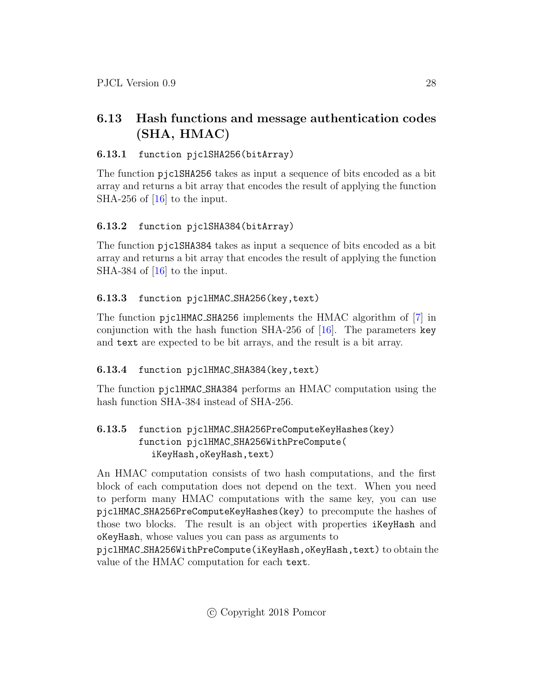# <span id="page-27-0"></span>6.13 Hash functions and message authentication codes (SHA, HMAC)

### <span id="page-27-1"></span>6.13.1 function pjclSHA256(bitArray)

The function pjclSHA256 takes as input a sequence of bits encoded as a bit array and returns a bit array that encodes the result of applying the function SHA-256 of [\[16\]](#page-50-5) to the input.

# <span id="page-27-2"></span>6.13.2 function pjclSHA384(bitArray)

The function pjclSHA384 takes as input a sequence of bits encoded as a bit array and returns a bit array that encodes the result of applying the function SHA-384 of [\[16\]](#page-50-5) to the input.

# <span id="page-27-3"></span>6.13.3 function pjclHMAC SHA256(key,text)

The function pjclHMAC SHA256 implements the HMAC algorithm of [\[7\]](#page-49-6) in conjunction with the hash function SHA-256 of  $[16]$ . The parameters key and text are expected to be bit arrays, and the result is a bit array.

# <span id="page-27-4"></span>6.13.4 function pjclHMAC SHA384(key,text)

The function pjclHMAC SHA384 performs an HMAC computation using the hash function SHA-384 instead of SHA-256.

### <span id="page-27-5"></span>6.13.5 function pjclHMAC SHA256PreComputeKeyHashes(key) function pjclHMAC SHA256WithPreCompute( iKeyHash,oKeyHash,text)

An HMAC computation consists of two hash computations, and the first block of each computation does not depend on the text. When you need to perform many HMAC computations with the same key, you can use pjclHMAC SHA256PreComputeKeyHashes(key) to precompute the hashes of those two blocks. The result is an object with properties iKeyHash and oKeyHash, whose values you can pass as arguments to

pjclHMAC SHA256WithPreCompute(iKeyHash,oKeyHash,text) to obtain the value of the HMAC computation for each text.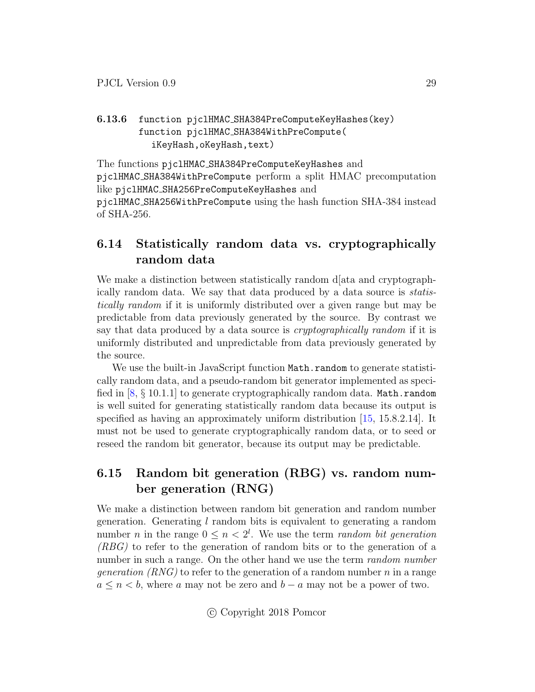### <span id="page-28-0"></span>6.13.6 function pjclHMAC SHA384PreComputeKeyHashes(key) function pjclHMAC SHA384WithPreCompute( iKeyHash,oKeyHash,text)

The functions pjclHMAC SHA384PreComputeKeyHashes and pjclHMAC SHA384WithPreCompute perform a split HMAC precomputation like pjclHMAC SHA256PreComputeKeyHashes and pjclHMAC SHA256WithPreCompute using the hash function SHA-384 instead of SHA-256.

# <span id="page-28-1"></span>6.14 Statistically random data vs. cryptographically random data

We make a distinction between statistically random d[ata and cryptographically random data. We say that data produced by a data source is statistically random if it is uniformly distributed over a given range but may be predictable from data previously generated by the source. By contrast we say that data produced by a data source is *cryptographically random* if it is uniformly distributed and unpredictable from data previously generated by the source.

We use the built-in JavaScript function Math.random to generate statistically random data, and a pseudo-random bit generator implemented as specified in  $[8, \S 10.1.1]$  $[8, \S 10.1.1]$  to generate cryptographically random data. Math.random is well suited for generating statistically random data because its output is specified as having an approximately uniform distribution [\[15,](#page-50-4) 15.8.2.14]. It must not be used to generate cryptographically random data, or to seed or reseed the random bit generator, because its output may be predictable.

# <span id="page-28-2"></span>6.15 Random bit generation (RBG) vs. random number generation (RNG)

We make a distinction between random bit generation and random number generation. Generating  $l$  random bits is equivalent to generating a random number *n* in the range  $0 \le n < 2^l$ . We use the term *random bit generation* (RBG) to refer to the generation of random bits or to the generation of a number in such a range. On the other hand we use the term *random number generation*  $(RNG)$  to refer to the generation of a random number n in a range  $a \leq n \leq b$ , where a may not be zero and  $b - a$  may not be a power of two.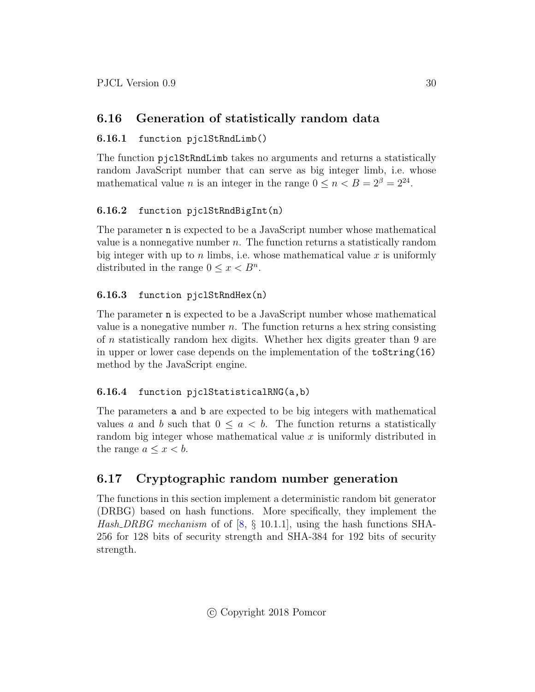# <span id="page-29-0"></span>6.16 Generation of statistically random data

### <span id="page-29-1"></span>6.16.1 function pjclStRndLimb()

The function pjclStRndLimb takes no arguments and returns a statistically random JavaScript number that can serve as big integer limb, i.e. whose mathematical value *n* is an integer in the range  $0 \le n < B = 2^{\beta} = 2^{24}$ .

### <span id="page-29-2"></span>6.16.2 function pjclStRndBigInt(n)

The parameter n is expected to be a JavaScript number whose mathematical value is a nonnegative number  $n$ . The function returns a statistically random big integer with up to n limbs, i.e. whose mathematical value  $x$  is uniformly distributed in the range  $0 \leq x < B^n$ .

### <span id="page-29-3"></span>6.16.3 function pjclStRndHex(n)

The parameter n is expected to be a JavaScript number whose mathematical value is a nonegative number  $n$ . The function returns a hex string consisting of n statistically random hex digits. Whether hex digits greater than 9 are in upper or lower case depends on the implementation of the toString(16) method by the JavaScript engine.

### <span id="page-29-4"></span>6.16.4 function pjclStatisticalRNG(a,b)

The parameters a and b are expected to be big integers with mathematical values a and b such that  $0 \le a < b$ . The function returns a statistically random big integer whose mathematical value  $x$  is uniformly distributed in the range  $a \leq x < b$ .

# <span id="page-29-5"></span>6.17 Cryptographic random number generation

The functions in this section implement a deterministic random bit generator (DRBG) based on hash functions. More specifically, they implement the Hash DRBG mechanism of of  $[8, \S 10.1.1]$  $[8, \S 10.1.1]$ , using the hash functions SHA-256 for 128 bits of security strength and SHA-384 for 192 bits of security strength.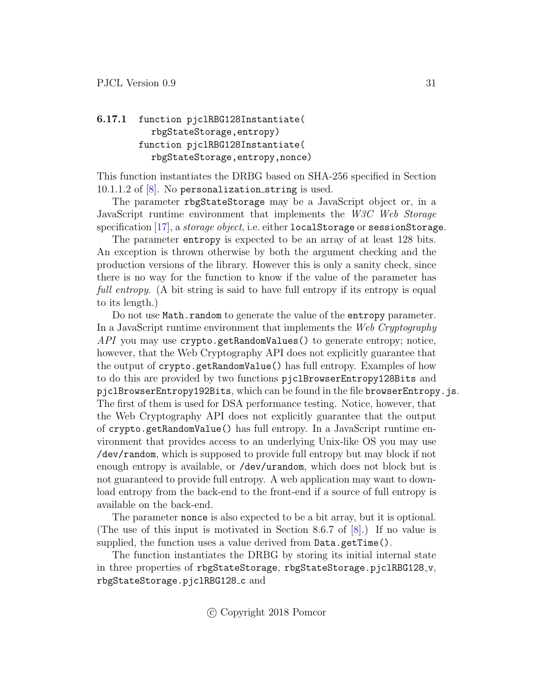### <span id="page-30-0"></span>6.17.1 function pjclRBG128Instantiate( rbgStateStorage,entropy) function pjclRBG128Instantiate( rbgStateStorage,entropy,nonce)

This function instantiates the DRBG based on SHA-256 specified in Section  $10.1.1.2$  of  $[8]$ . No personalization string is used.

The parameter rbgStateStorage may be a JavaScript object or, in a JavaScript runtime environment that implements the W3C Web Storage specification  $[17]$ , a *storage object*, i.e. either localStorage or sessionStorage.

The parameter entropy is expected to be an array of at least 128 bits. An exception is thrown otherwise by both the argument checking and the production versions of the library. However this is only a sanity check, since there is no way for the function to know if the value of the parameter has full entropy. (A bit string is said to have full entropy if its entropy is equal to its length.)

Do not use Math.random to generate the value of the entropy parameter. In a JavaScript runtime environment that implements the Web Cryptography API you may use crypto.getRandomValues() to generate entropy; notice, however, that the Web Cryptography API does not explicitly guarantee that the output of crypto.getRandomValue() has full entropy. Examples of how to do this are provided by two functions pjclBrowserEntropy128Bits and pjclBrowserEntropy192Bits, which can be found in the file browserEntropy.js. The first of them is used for DSA performance testing. Notice, however, that the Web Cryptography API does not explicitly guarantee that the output of crypto.getRandomValue() has full entropy. In a JavaScript runtime environment that provides access to an underlying Unix-like OS you may use /dev/random, which is supposed to provide full entropy but may block if not enough entropy is available, or /dev/urandom, which does not block but is not guaranteed to provide full entropy. A web application may want to download entropy from the back-end to the front-end if a source of full entropy is available on the back-end.

The parameter nonce is also expected to be a bit array, but it is optional. (The use of this input is motivated in Section 8.6.7 of [\[8\]](#page-49-7).) If no value is supplied, the function uses a value derived from Data.getTime().

The function instantiates the DRBG by storing its initial internal state in three properties of rbgStateStorage, rbgStateStorage.pjclRBG128\_v, rbgStateStorage.pjclRBG128 c and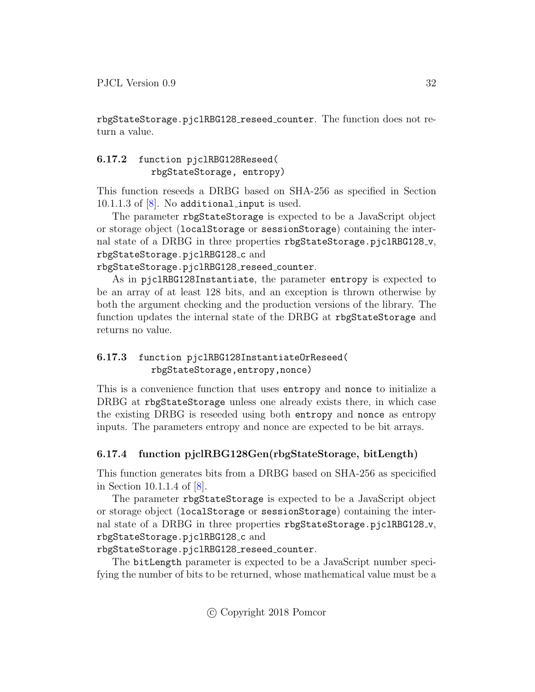rbgStateStorage.pjclRBG128 reseed counter. The function does not return a value.

### <span id="page-31-0"></span>6.17.2 function pjclRBG128Reseed( rbgStateStorage, entropy)

This function reseeds a DRBG based on SHA-256 as specified in Section 10.1.1.3 of  $[8]$ . No additional input is used.

The parameter rbgStateStorage is expected to be a JavaScript object or storage object (localStorage or sessionStorage) containing the internal state of a DRBG in three properties rbgStateStorage.pjclRBG128<sub>-v</sub>, rbgStateStorage.pjclRBG128\_c and

rbgStateStorage.pjclRBG128 reseed counter.

As in pjclRBG128Instantiate, the parameter entropy is expected to be an array of at least 128 bits, and an exception is thrown otherwise by both the argument checking and the production versions of the library. The function updates the internal state of the DRBG at rbgStateStorage and returns no value.

### <span id="page-31-1"></span>6.17.3 function pjclRBG128InstantiateOrReseed( rbgStateStorage,entropy,nonce)

This is a convenience function that uses entropy and nonce to initialize a DRBG at rbgStateStorage unless one already exists there, in which case the existing DRBG is reseeded using both entropy and nonce as entropy inputs. The parameters entropy and nonce are expected to be bit arrays.

### <span id="page-31-2"></span>6.17.4 function pjclRBG128Gen(rbgStateStorage, bitLength)

This function generates bits from a DRBG based on SHA-256 as specicified in Section 10.1.1.4 of [\[8\]](#page-49-7).

The parameter rbgStateStorage is expected to be a JavaScript object or storage object (localStorage or sessionStorage) containing the internal state of a DRBG in three properties rbgStateStorage.pjclRBG128\_v, rbgStateStorage.pjclRBG128<sub>c</sub> and

### rbgStateStorage.pjclRBG128 reseed counter.

The bitLength parameter is expected to be a JavaScript number specifying the number of bits to be returned, whose mathematical value must be a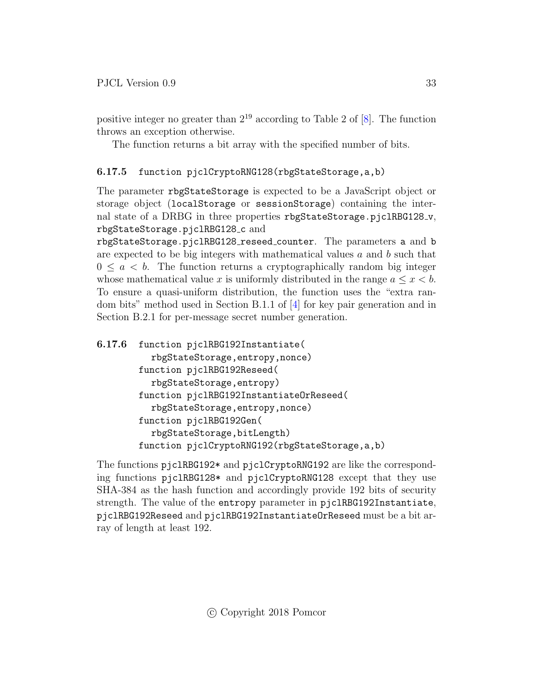positive integer no greater than  $2^{19}$  according to Table 2 of [\[8\]](#page-49-7). The function throws an exception otherwise.

The function returns a bit array with the specified number of bits.

### <span id="page-32-0"></span>6.17.5 function pjclCryptoRNG128(rbgStateStorage,a,b)

The parameter rbgStateStorage is expected to be a JavaScript object or storage object (localStorage or sessionStorage) containing the internal state of a DRBG in three properties rbgStateStorage.pjclRBG128\_v, rbgStateStorage.pjclRBG128 c and

rbgStateStorage.pjclRBG128 reseed counter. The parameters a and b are expected to be big integers with mathematical values  $a$  and  $b$  such that  $0 \leq a \leq b$ . The function returns a cryptographically random big integer whose mathematical value x is uniformly distributed in the range  $a \leq x \leq b$ . To ensure a quasi-uniform distribution, the function uses the "extra random bits" method used in Section B.1.1 of [\[4\]](#page-49-3) for key pair generation and in Section B.2.1 for per-message secret number generation.

```
6.17.6 function pjclRBG192Instantiate(
   rbgStateStorage,entropy,nonce)
function pjclRBG192Reseed(
   rbgStateStorage,entropy)
function pjclRBG192InstantiateOrReseed(
   rbgStateStorage,entropy,nonce)
function pjclRBG192Gen(
   rbgStateStorage,bitLength)
function pjclCryptoRNG192(rbgStateStorage,a,b)
```
The functions pjclRBG192\* and pjclCryptoRNG192 are like the corresponding functions pjclRBG128\* and pjclCryptoRNG128 except that they use SHA-384 as the hash function and accordingly provide 192 bits of security strength. The value of the entropy parameter in pjclRBG192Instantiate, pjclRBG192Reseed and pjclRBG192InstantiateOrReseed must be a bit array of length at least 192.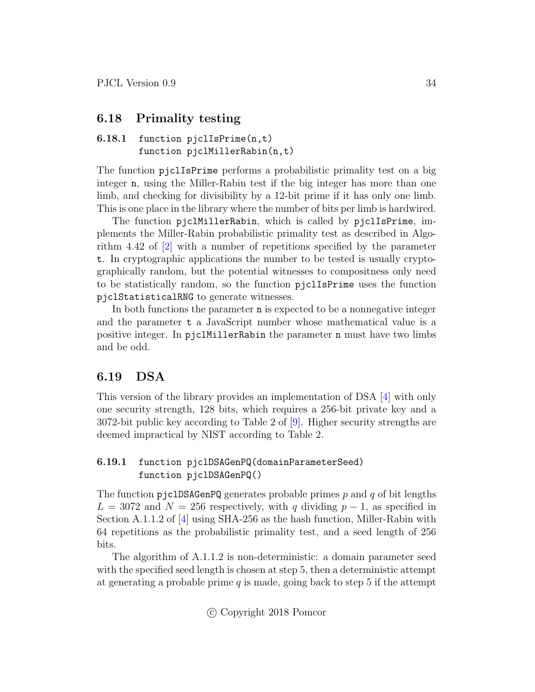### <span id="page-33-0"></span>6.18 Primality testing

### <span id="page-33-1"></span>6.18.1 function pjclIsPrime(n,t) function pjclMillerRabin(n,t)

The function pjclIsPrime performs a probabilistic primality test on a big integer n, using the Miller-Rabin test if the big integer has more than one limb, and checking for divisibility by a 12-bit prime if it has only one limb. This is one place in the library where the number of bits per limb is hardwired.

The function pjclMillerRabin, which is called by pjclIsPrime, implements the Miller-Rabin probabilistic primality test as described in Algorithm 4.42 of [\[2\]](#page-49-1) with a number of repetitions specified by the parameter t. In cryptographic applications the number to be tested is usually cryptographically random, but the potential witnesses to compositness only need to be statistically random, so the function pjclIsPrime uses the function pjclStatisticalRNG to generate witnesses.

In both functions the parameter n is expected to be a nonnegative integer and the parameter t a JavaScript number whose mathematical value is a positive integer. In pjclMillerRabin the parameter n must have two limbs and be odd.

### <span id="page-33-2"></span>6.19 DSA

This version of the library provides an implementation of DSA [\[4\]](#page-49-3) with only one security strength, 128 bits, which requires a 256-bit private key and a 3072-bit public key according to Table 2 of [\[9\]](#page-49-8). Higher security strengths are deemed impractical by NIST according to Table 2.

#### <span id="page-33-3"></span>6.19.1 function pjclDSAGenPQ(domainParameterSeed) function pjclDSAGenPQ()

The function pjclDSAGenPQ generates probable primes  $p$  and  $q$  of bit lengths  $L = 3072$  and  $N = 256$  respectively, with q dividing  $p - 1$ , as specified in Section A.1.1.2 of [\[4\]](#page-49-3) using SHA-256 as the hash function, Miller-Rabin with 64 repetitions as the probabilistic primality test, and a seed length of 256 bits.

The algorithm of A.1.1.2 is non-deterministic: a domain parameter seed with the specified seed length is chosen at step 5, then a deterministic attempt at generating a probable prime q is made, going back to step 5 if the attempt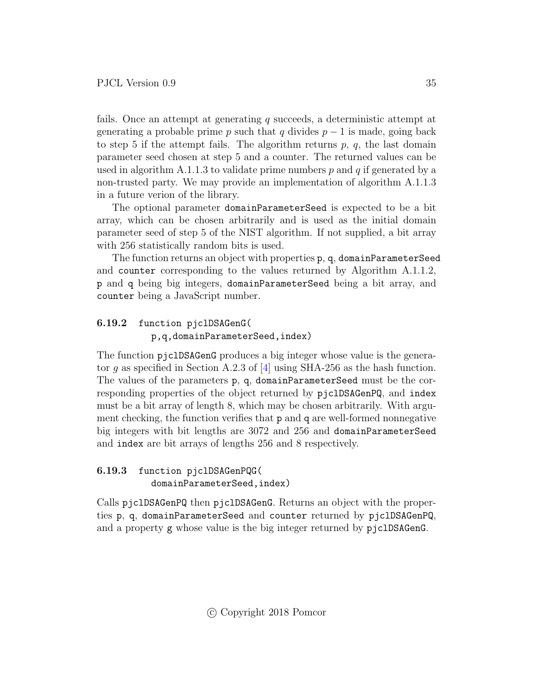fails. Once an attempt at generating  $q$  succeeds, a deterministic attempt at generating a probable prime p such that q divides  $p-1$  is made, going back to step 5 if the attempt fails. The algorithm returns  $p, q$ , the last domain parameter seed chosen at step 5 and a counter. The returned values can be used in algorithm A.1.1.3 to validate prime numbers p and q if generated by a non-trusted party. We may provide an implementation of algorithm A.1.1.3 in a future verion of the library.

The optional parameter domainParameterSeed is expected to be a bit array, which can be chosen arbitrarily and is used as the initial domain parameter seed of step 5 of the NIST algorithm. If not supplied, a bit array with 256 statistically random bits is used.

The function returns an object with properties p, q, domainParameterSeed and counter corresponding to the values returned by Algorithm A.1.1.2, p and q being big integers, domainParameterSeed being a bit array, and counter being a JavaScript number.

### <span id="page-34-0"></span>6.19.2 function pjclDSAGenG( p,q,domainParameterSeed,index)

The function pjclDSAGenG produces a big integer whose value is the genera-tor q as specified in Section A.2.3 of [\[4\]](#page-49-3) using SHA-256 as the hash function. The values of the parameters p, q, domainParameterSeed must be the corresponding properties of the object returned by pjclDSAGenPQ, and index must be a bit array of length 8, which may be chosen arbitrarily. With argument checking, the function verifies that p and q are well-formed nonnegative big integers with bit lengths are 3072 and 256 and domainParameterSeed and index are bit arrays of lengths 256 and 8 respectively.

### <span id="page-34-1"></span>6.19.3 function pjclDSAGenPQG( domainParameterSeed,index)

Calls pjclDSAGenPQ then pjclDSAGenG. Returns an object with the properties p, q, domainParameterSeed and counter returned by pjclDSAGenPQ, and a property g whose value is the big integer returned by pjclDSAGenG.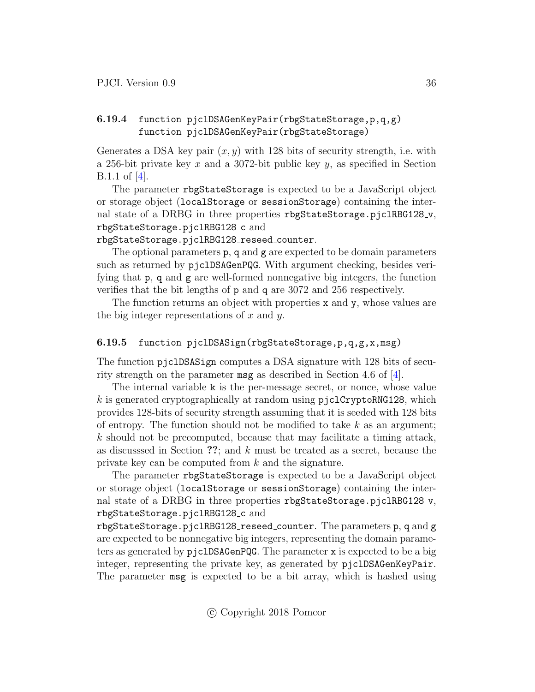### <span id="page-35-0"></span>6.19.4 function pjclDSAGenKeyPair(rbgStateStorage,p,q,g) function pjclDSAGenKeyPair(rbgStateStorage)

Generates a DSA key pair  $(x, y)$  with 128 bits of security strength, i.e. with a 256-bit private key x and a 3072-bit public key  $y$ , as specified in Section B.1.1 of [\[4\]](#page-49-3).

The parameter rbgStateStorage is expected to be a JavaScript object or storage object (localStorage or sessionStorage) containing the internal state of a DRBG in three properties rbgStateStorage.pjclRBG128\_v, rbgStateStorage.pjclRBG128\_c and

rbgStateStorage.pjclRBG128 reseed counter.

The optional parameters p, q and g are expected to be domain parameters such as returned by pjclDSAGenPQG. With argument checking, besides verifying that p, q and g are well-formed nonnegative big integers, the function verifies that the bit lengths of p and q are 3072 and 256 respectively.

The function returns an object with properties x and y, whose values are the big integer representations of  $x$  and  $y$ .

#### <span id="page-35-1"></span>6.19.5 function pjclDSASign(rbgStateStorage,p,q,g,x,msg)

The function pjclDSASign computes a DSA signature with 128 bits of security strength on the parameter msg as described in Section 4.6 of [\[4\]](#page-49-3).

The internal variable k is the per-message secret, or nonce, whose value k is generated cryptographically at random using  $piclCryptoRRG128$ , which provides 128-bits of security strength assuming that it is seeded with 128 bits of entropy. The function should not be modified to take  $k$  as an argument;  $k$  should not be precomputed, because that may facilitate a timing attack, as discusssed in Section ??; and k must be treated as a secret, because the private key can be computed from k and the signature.

The parameter rbgStateStorage is expected to be a JavaScript object or storage object (localStorage or sessionStorage) containing the internal state of a DRBG in three properties rbgStateStorage.pjclRBG128\_v, rbgStateStorage.pjclRBG128 c and

rbgStateStorage.pjclRBG128 reseed counter. The parameters p, q and g are expected to be nonnegative big integers, representing the domain parameters as generated by pjclDSAGenPQG. The parameter x is expected to be a big integer, representing the private key, as generated by pjclDSAGenKeyPair. The parameter msg is expected to be a bit array, which is hashed using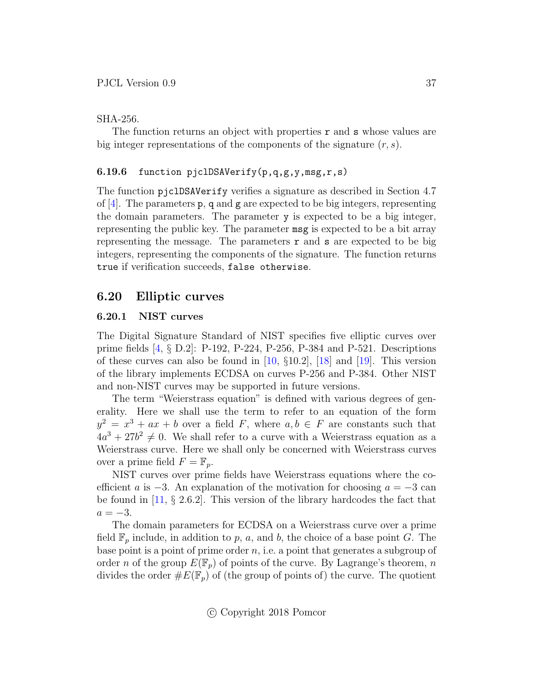#### SHA-256.

The function returns an object with properties  $\mathbf r$  and  $\mathbf s$  whose values are big integer representations of the components of the signature  $(r, s)$ .

#### <span id="page-36-0"></span>6.19.6 function pjclDSAVerify(p,q,g,y,msg,r,s)

The function pjclDSAVerify verifies a signature as described in Section 4.7 of  $[4]$ . The parameters p, q and g are expected to be big integers, representing the domain parameters. The parameter y is expected to be a big integer, representing the public key. The parameter msg is expected to be a bit array representing the message. The parameters  $\mathbf r$  and  $\mathbf s$  are expected to be big integers, representing the components of the signature. The function returns true if verification succeeds, false otherwise.

### <span id="page-36-1"></span>6.20 Elliptic curves

#### <span id="page-36-2"></span>6.20.1 NIST curves

The Digital Signature Standard of NIST specifies five elliptic curves over prime fields [\[4,](#page-49-3) § D.2]: P-192, P-224, P-256, P-384 and P-521. Descriptions of these curves can also be found in [\[10,](#page-49-9)  $\S 10.2$ ], [\[18\]](#page-50-7) and [\[19\]](#page-50-8). This version of the library implements ECDSA on curves P-256 and P-384. Other NIST and non-NIST curves may be supported in future versions.

The term "Weierstrass equation" is defined with various degrees of generality. Here we shall use the term to refer to an equation of the form  $y^2 = x^3 + ax + b$  over a field F, where  $a, b \in F$  are constants such that  $4a^3 + 27b^2 \neq 0$ . We shall refer to a curve with a Weierstrass equation as a Weierstrass curve. Here we shall only be concerned with Weierstrass curves over a prime field  $F = \mathbb{F}_p$ .

NIST curves over prime fields have Weierstrass equations where the coefficient a is  $-3$ . An explanation of the motivation for choosing  $a = -3$  can be found in  $[11, § 2.6.2]$  $[11, § 2.6.2]$ . This version of the library hardcodes the fact that  $a = -3$ .

The domain parameters for ECDSA on a Weierstrass curve over a prime field  $\mathbb{F}_p$  include, in addition to p, a, and b, the choice of a base point G. The base point is a point of prime order  $n$ , i.e. a point that generates a subgroup of order n of the group  $E(\mathbb{F}_p)$  of points of the curve. By Lagrange's theorem, n divides the order  $\#E(\mathbb{F}_p)$  of (the group of points of) the curve. The quotient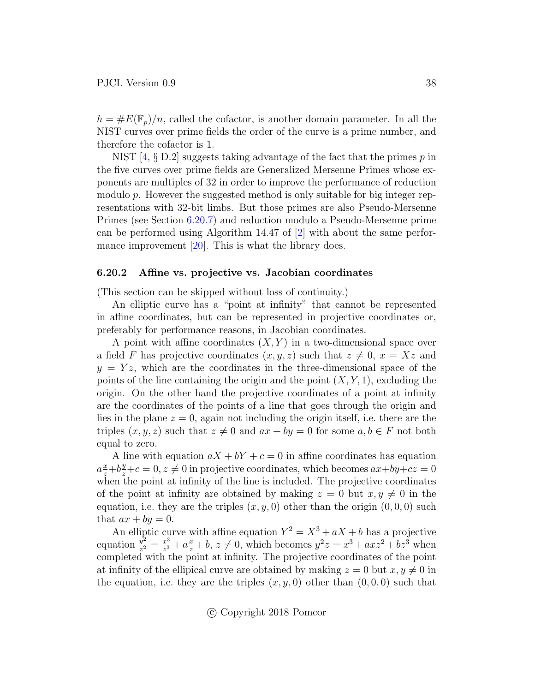$h = \#E(\mathbb{F}_p)/n$ , called the cofactor, is another domain parameter. In all the NIST curves over prime fields the order of the curve is a prime number, and therefore the cofactor is 1.

NIST  $[4, \S$  $[4, \S$  D.2] suggests taking advantage of the fact that the primes p in the five curves over prime fields are Generalized Mersenne Primes whose exponents are multiples of 32 in order to improve the performance of reduction modulo  $p$ . However the suggested method is only suitable for big integer representations with 32-bit limbs. But those primes are also Pseudo-Mersenne Primes (see Section [6.20.7\)](#page-39-0) and reduction modulo a Pseudo-Mersenne prime can be performed using Algorithm 14.47 of [\[2\]](#page-49-1) with about the same perfor-mance improvement [\[20\]](#page-50-9). This is what the library does.

#### <span id="page-37-0"></span>6.20.2 Affine vs. projective vs. Jacobian coordinates

(This section can be skipped without loss of continuity.)

An elliptic curve has a "point at infinity" that cannot be represented in affine coordinates, but can be represented in projective coordinates or, preferably for performance reasons, in Jacobian coordinates.

A point with affine coordinates  $(X, Y)$  in a two-dimensional space over a field F has projective coordinates  $(x, y, z)$  such that  $z \neq 0$ ,  $x = Xz$  and  $y = Yz$ , which are the coordinates in the three-dimensional space of the points of the line containing the origin and the point  $(X, Y, 1)$ , excluding the origin. On the other hand the projective coordinates of a point at infinity are the coordinates of the points of a line that goes through the origin and lies in the plane  $z = 0$ , again not including the origin itself, i.e. there are the triples  $(x, y, z)$  such that  $z \neq 0$  and  $ax + by = 0$  for some  $a, b \in F$  not both equal to zero.

A line with equation  $aX + bY + c = 0$  in affine coordinates has equation  $a\frac{x}{z}+b\frac{y}{z}+c=0, z\neq 0$  in projective coordinates, which becomes  $ax+by+cz=0$ when the point at infinity of the line is included. The projective coordinates of the point at infinity are obtained by making  $z = 0$  but  $x, y \neq 0$  in the equation, i.e. they are the triples  $(x, y, 0)$  other than the origin  $(0, 0, 0)$  such that  $ax + by = 0$ .

An elliptic curve with affine equation  $Y^2 = X^3 + aX + b$  has a projective equation  $\frac{y^2}{z^2}$  $\frac{y^2}{z^2} = \frac{x^3}{z^3}$  $\frac{x^3}{z^3} + a\frac{x}{z} + b, z \neq 0$ , which becomes  $y^2z = x^3 + axz^2 + bz^3$  when completed with the point at infinity. The projective coordinates of the point at infinity of the ellipical curve are obtained by making  $z = 0$  but  $x, y \neq 0$  in the equation, i.e. they are the triples  $(x, y, 0)$  other than  $(0, 0, 0)$  such that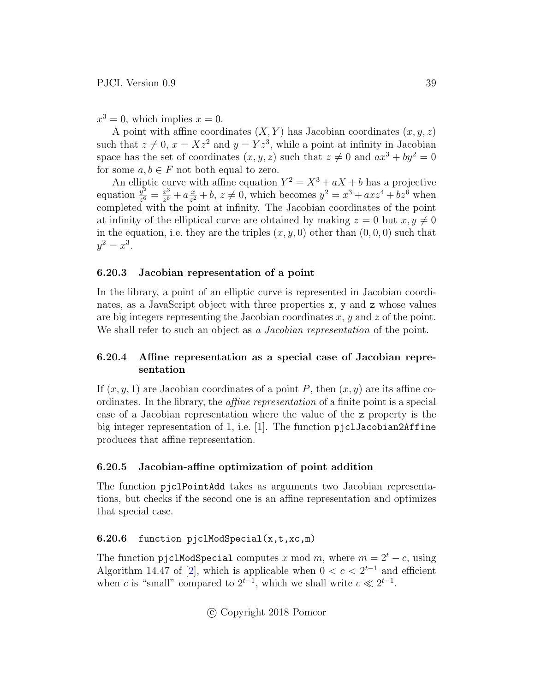$x^3 = 0$ , which implies  $x = 0$ .

A point with affine coordinates  $(X, Y)$  has Jacobian coordinates  $(x, y, z)$ such that  $z \neq 0, x = Xz^2$  and  $y = Yz^3$ , while a point at infinity in Jacobian space has the set of coordinates  $(x, y, z)$  such that  $z \neq 0$  and  $ax^3 + by^2 = 0$ for some  $a, b \in F$  not both equal to zero.

An elliptic curve with affine equation  $Y^2 = X^3 + aX + b$  has a projective equation  $\frac{y^2}{z^6}$  $\frac{y^2}{z^6} = \frac{x^3}{z^6}$  $rac{x^3}{z^6} + a \frac{x}{z^2}$  $\frac{x}{z^2} + b, z \neq 0$ , which becomes  $y^2 = x^3 + axz^4 + bz^6$  when completed with the point at infinity. The Jacobian coordinates of the point at infinity of the elliptical curve are obtained by making  $z = 0$  but  $x, y \neq 0$ in the equation, i.e. they are the triples  $(x, y, 0)$  other than  $(0, 0, 0)$  such that  $y^2 = x^3$ .

#### <span id="page-38-0"></span>6.20.3 Jacobian representation of a point

In the library, a point of an elliptic curve is represented in Jacobian coordinates, as a JavaScript object with three properties x, y and z whose values are big integers representing the Jacobian coordinates  $x, y$  and  $z$  of the point. We shall refer to such an object as a *Jacobian representation* of the point.

#### <span id="page-38-1"></span>6.20.4 Affine representation as a special case of Jacobian representation

If  $(x, y, 1)$  are Jacobian coordinates of a point P, then  $(x, y)$  are its affine coordinates. In the library, the affine representation of a finite point is a special case of a Jacobian representation where the value of the z property is the big integer representation of 1, i.e. [1]. The function pjclJacobian2Affine produces that affine representation.

#### <span id="page-38-2"></span>6.20.5 Jacobian-affine optimization of point addition

The function pjclPointAdd takes as arguments two Jacobian representations, but checks if the second one is an affine representation and optimizes that special case.

#### <span id="page-38-3"></span>6.20.6 function pjclModSpecial(x,t,xc,m)

The function pjc1ModSpecial computes x mod m, where  $m = 2<sup>t</sup> - c$ , using Algorithm 14.47 of [\[2\]](#page-49-1), which is applicable when  $0 < c < 2^{t-1}$  and efficient when c is "small" compared to  $2^{t-1}$ , which we shall write  $c \ll 2^{t-1}$ .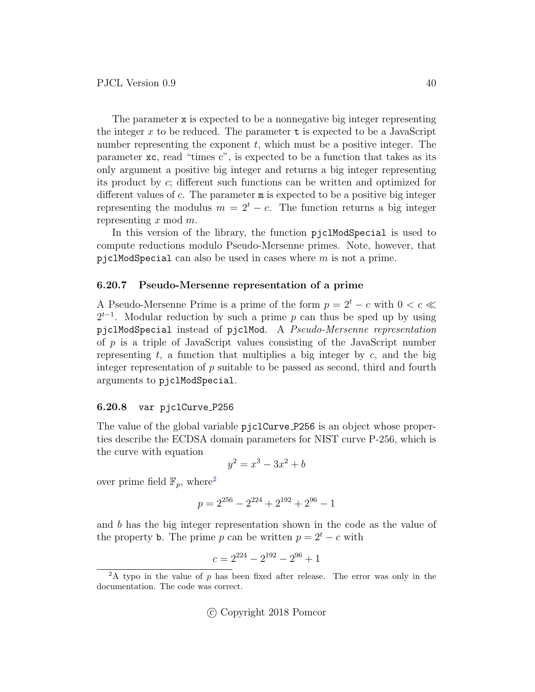The parameter x is expected to be a nonnegative big integer representing the integer x to be reduced. The parameter  $t$  is expected to be a JavaScript number representing the exponent  $t$ , which must be a positive integer. The parameter xc, read "times c", is expected to be a function that takes as its only argument a positive big integer and returns a big integer representing its product by c; different such functions can be written and optimized for different values of c. The parameter m is expected to be a positive big integer representing the modulus  $m = 2<sup>t</sup> - c$ . The function returns a big integer representing  $x \mod m$ .

In this version of the library, the function pjclModSpecial is used to compute reductions modulo Pseudo-Mersenne primes. Note, however, that pjclModSpecial can also be used in cases where  $m$  is not a prime.

#### <span id="page-39-0"></span>6.20.7 Pseudo-Mersenne representation of a prime

A Pseudo-Mersenne Prime is a prime of the form  $p = 2^t - c$  with  $0 < c \ll$  $2^{t-1}$ . Modular reduction by such a prime p can thus be sped up by using pjclModSpecial instead of pjclMod. A Pseudo-Mersenne representation of  $p$  is a triple of JavaScript values consisting of the JavaScript number representing  $t$ , a function that multiplies a big integer by  $c$ , and the big integer representation of p suitable to be passed as second, third and fourth arguments to pjclModSpecial.

#### <span id="page-39-1"></span>6.20.8 var pjclCurve P256

The value of the global variable pjclCurve  $P256$  is an object whose properties describe the ECDSA domain parameters for NIST curve P-256, which is the curve with equation

$$
y^2 = x^3 - 3x^2 + b
$$

over prime field  $\mathbb{F}_p$ , where<sup>[2](#page-39-2)</sup>

$$
p = 2^{256} - 2^{224} + 2^{192} + 2^{96} - 1
$$

and b has the big integer representation shown in the code as the value of the property **b**. The prime p can be written  $p = 2^t - c$  with

$$
c = 2^{224} - 2^{192} - 2^{96} + 1
$$

<span id="page-39-2"></span> $2A$  typo in the value of p has been fixed after release. The error was only in the documentation. The code was correct.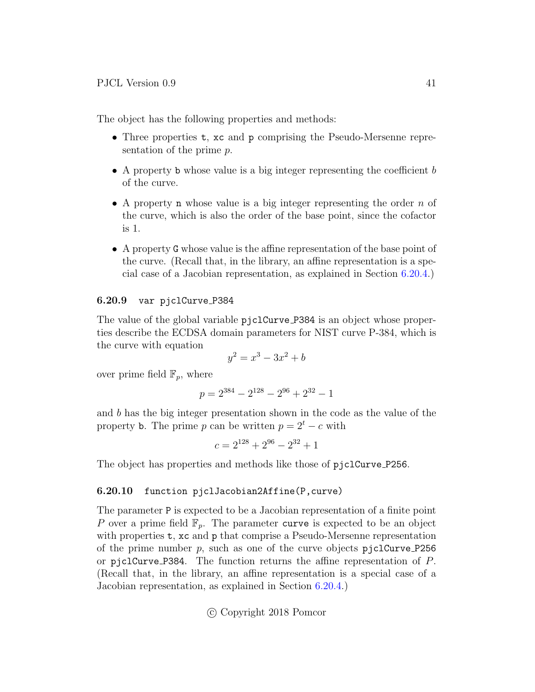The object has the following properties and methods:

- Three properties **t**, xc and **p** comprising the Pseudo-Mersenne representation of the prime p.
- A property b whose value is a big integer representing the coefficient b of the curve.
- A property **n** whose value is a big integer representing the order n of the curve, which is also the order of the base point, since the cofactor is 1.
- A property G whose value is the affine representation of the base point of the curve. (Recall that, in the library, an affine representation is a special case of a Jacobian representation, as explained in Section [6.20.4.](#page-38-1))

#### <span id="page-40-0"></span>6.20.9 var pjclCurve P384

The value of the global variable pjclCurve P384 is an object whose properties describe the ECDSA domain parameters for NIST curve P-384, which is the curve with equation

$$
y^2 = x^3 - 3x^2 + b
$$

over prime field  $\mathbb{F}_p$ , where

$$
p = 2^{384} - 2^{128} - 2^{96} + 2^{32} - 1
$$

and b has the big integer presentation shown in the code as the value of the property b. The prime p can be written  $p = 2<sup>t</sup> - c$  with

$$
c = 2^{128} + 2^{96} - 2^{32} + 1
$$

The object has properties and methods like those of pjclCurve P256.

#### <span id="page-40-1"></span>6.20.10 function pjclJacobian2Affine(P,curve)

The parameter P is expected to be a Jacobian representation of a finite point P over a prime field  $\mathbb{F}_p$ . The parameter curve is expected to be an object with properties **t**, xc and **p** that comprise a Pseudo-Mersenne representation of the prime number  $p$ , such as one of the curve objects pjclCurve P256 or pjclCurve P384. The function returns the affine representation of P. (Recall that, in the library, an affine representation is a special case of a Jacobian representation, as explained in Section [6.20.4.](#page-38-1))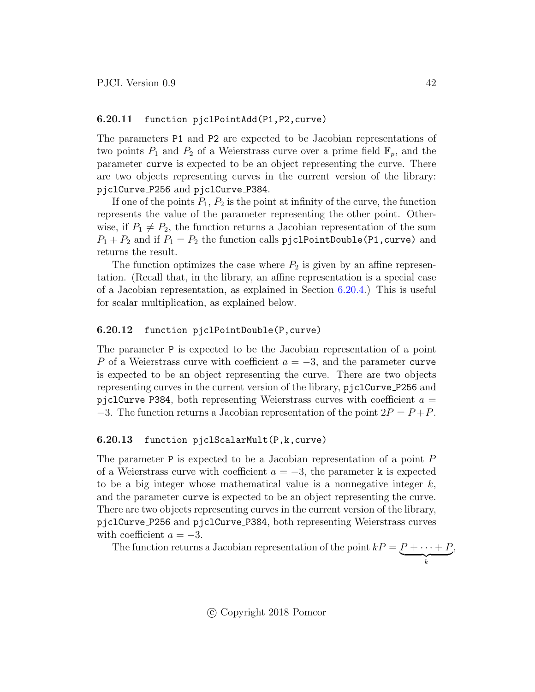#### <span id="page-41-0"></span>6.20.11 function pjclPointAdd(P1,P2,curve)

The parameters P1 and P2 are expected to be Jacobian representations of two points  $P_1$  and  $P_2$  of a Weierstrass curve over a prime field  $\mathbb{F}_p$ , and the parameter curve is expected to be an object representing the curve. There are two objects representing curves in the current version of the library: pjclCurve P256 and pjclCurve P384.

If one of the points  $P_1, P_2$  is the point at infinity of the curve, the function represents the value of the parameter representing the other point. Otherwise, if  $P_1 \neq P_2$ , the function returns a Jacobian representation of the sum  $P_1 + P_2$  and if  $P_1 = P_2$  the function calls pjclPointDouble(P1, curve) and returns the result.

The function optimizes the case where  $P_2$  is given by an affine representation. (Recall that, in the library, an affine representation is a special case of a Jacobian representation, as explained in Section [6.20.4.](#page-38-1)) This is useful for scalar multiplication, as explained below.

#### <span id="page-41-1"></span>6.20.12 function pjclPointDouble(P,curve)

The parameter P is expected to be the Jacobian representation of a point P of a Weierstrass curve with coefficient  $a = -3$ , and the parameter curve is expected to be an object representing the curve. There are two objects representing curves in the current version of the library, pjclCurve P256 and pjclCurve P384, both representing Weierstrass curves with coefficient  $a =$ −3. The function returns a Jacobian representation of the point  $2P = P + P$ .

#### <span id="page-41-2"></span>6.20.13 function pjclScalarMult(P,k,curve)

The parameter P is expected to be a Jacobian representation of a point P of a Weierstrass curve with coefficient  $a = -3$ , the parameter k is expected to be a big integer whose mathematical value is a nonnegative integer  $k$ , and the parameter curve is expected to be an object representing the curve. There are two objects representing curves in the current version of the library, pjclCurve P256 and pjclCurve P384, both representing Weierstrass curves with coefficient  $a = -3$ .

The function returns a Jacobian representation of the point  $kP = P + \cdots + P$  $\overbrace{k}$ ,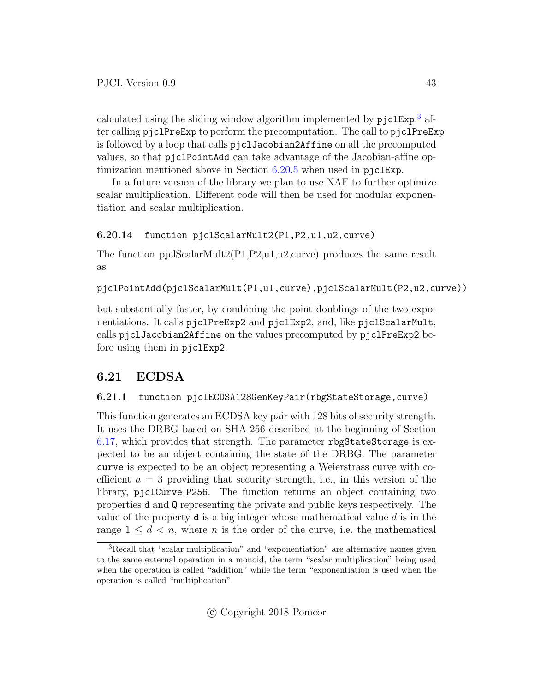calculated using the sliding window algorithm implemented by pjclExp,<sup>[3](#page-42-3)</sup> after calling pjclPreExp to perform the precomputation. The call to pjclPreExp is followed by a loop that calls pjclJacobian2Affine on all the precomputed values, so that pjclPointAdd can take advantage of the Jacobian-affine optimization mentioned above in Section [6.20.5](#page-38-2) when used in pjclExp.

In a future version of the library we plan to use NAF to further optimize scalar multiplication. Different code will then be used for modular exponentiation and scalar multiplication.

### <span id="page-42-0"></span>6.20.14 function pjclScalarMult2(P1,P2,u1,u2,curve)

The function pjclScalarMult2(P1,P2,u1,u2,curve) produces the same result as

pjclPointAdd(pjclScalarMult(P1,u1,curve),pjclScalarMult(P2,u2,curve))

but substantially faster, by combining the point doublings of the two exponentiations. It calls pjclPreExp2 and pjclExp2, and, like pjclScalarMult, calls pjclJacobian2Affine on the values precomputed by pjclPreExp2 before using them in pjclExp2.

# <span id="page-42-1"></span>6.21 ECDSA

### <span id="page-42-2"></span>6.21.1 function pjclECDSA128GenKeyPair(rbgStateStorage,curve)

This function generates an ECDSA key pair with 128 bits of security strength. It uses the DRBG based on SHA-256 described at the beginning of Section [6.17,](#page-29-5) which provides that strength. The parameter rbgStateStorage is expected to be an object containing the state of the DRBG. The parameter curve is expected to be an object representing a Weierstrass curve with coefficient  $a = 3$  providing that security strength, i.e., in this version of the library, pjclCurve P256. The function returns an object containing two properties d and Q representing the private and public keys respectively. The value of the property  $d$  is a big integer whose mathematical value  $d$  is in the range  $1 \leq d < n$ , where *n* is the order of the curve, i.e. the mathematical

<span id="page-42-3"></span><sup>&</sup>lt;sup>3</sup>Recall that "scalar multiplication" and "exponentiation" are alternative names given to the same external operation in a monoid, the term "scalar multiplication" being used when the operation is called "addition" while the term "exponentiation is used when the operation is called "multiplication".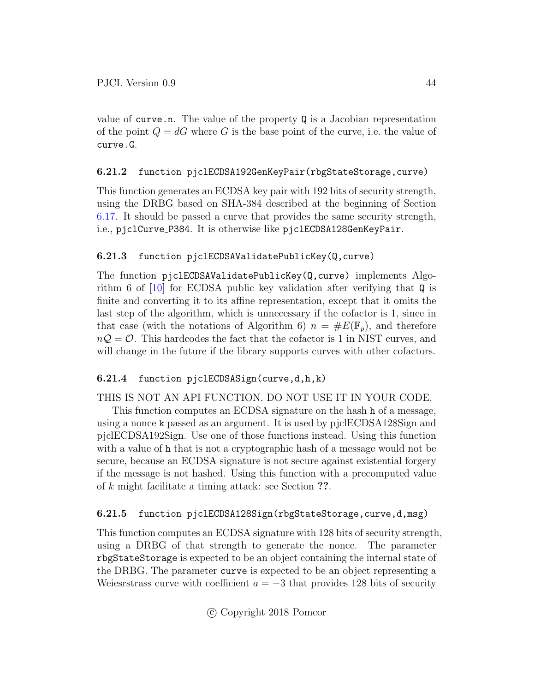value of curve.n. The value of the property  $\mathbb Q$  is a Jacobian representation of the point  $Q = dG$  where G is the base point of the curve, i.e. the value of curve.G.

### <span id="page-43-0"></span>6.21.2 function pjclECDSA192GenKeyPair(rbgStateStorage,curve)

This function generates an ECDSA key pair with 192 bits of security strength, using the DRBG based on SHA-384 described at the beginning of Section [6.17.](#page-29-5) It should be passed a curve that provides the same security strength, i.e., pjclCurve P384. It is otherwise like pjclECDSA128GenKeyPair.

### <span id="page-43-1"></span>6.21.3 function pjclECDSAValidatePublicKey(Q,curve)

The function pjclECDSAValidatePublicKey(Q,curve) implements Algorithm 6 of [\[10\]](#page-49-9) for ECDSA public key validation after verifying that Q is finite and converting it to its affine representation, except that it omits the last step of the algorithm, which is unnecessary if the cofactor is 1, since in that case (with the notations of Algorithm 6)  $n = \#E(\mathbb{F}_p)$ , and therefore  $nQ = \mathcal{O}$ . This hardcodes the fact that the cofactor is 1 in NIST curves, and will change in the future if the library supports curves with other cofactors.

### <span id="page-43-2"></span>6.21.4 function pjclECDSASign(curve,d,h,k)

### THIS IS NOT AN API FUNCTION. DO NOT USE IT IN YOUR CODE.

This function computes an ECDSA signature on the hash h of a message, using a nonce k passed as an argument. It is used by pjclECDSA128Sign and pjclECDSA192Sign. Use one of those functions instead. Using this function with a value of h that is not a cryptographic hash of a message would not be secure, because an ECDSA signature is not secure against existential forgery if the message is not hashed. Using this function with a precomputed value of k might facilitate a timing attack: see Section ??.

### <span id="page-43-3"></span>6.21.5 function pjclECDSA128Sign(rbgStateStorage,curve,d,msg)

This function computes an ECDSA signature with 128 bits of security strength, using a DRBG of that strength to generate the nonce. The parameter rbgStateStorage is expected to be an object containing the internal state of the DRBG. The parameter curve is expected to be an object representing a Weiesrstrass curve with coefficient  $a = -3$  that provides 128 bits of security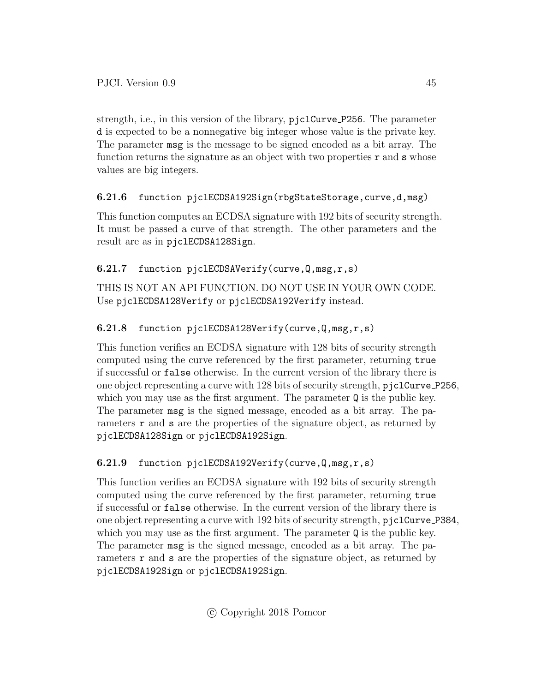strength, i.e., in this version of the library, pjclCurve P256. The parameter d is expected to be a nonnegative big integer whose value is the private key. The parameter msg is the message to be signed encoded as a bit array. The function returns the signature as an object with two properties  $\mathbf r$  and  $\mathbf s$  whose values are big integers.

### <span id="page-44-0"></span>6.21.6 function pjclECDSA192Sign(rbgStateStorage,curve,d,msg)

This function computes an ECDSA signature with 192 bits of security strength. It must be passed a curve of that strength. The other parameters and the result are as in pjclECDSA128Sign.

### <span id="page-44-1"></span>6.21.7 function pjclECDSAVerify(curve,Q,msg,r,s)

THIS IS NOT AN API FUNCTION. DO NOT USE IN YOUR OWN CODE. Use pjclECDSA128Verify or pjclECDSA192Verify instead.

### <span id="page-44-2"></span>6.21.8 function pjclECDSA128Verify(curve,Q,msg,r,s)

This function verifies an ECDSA signature with 128 bits of security strength computed using the curve referenced by the first parameter, returning true if successful or false otherwise. In the current version of the library there is one object representing a curve with 128 bits of security strength, pjclCurve P256, which you may use as the first argument. The parameter  $\mathbf Q$  is the public key. The parameter msg is the signed message, encoded as a bit array. The parameters **r** and **s** are the properties of the signature object, as returned by pjclECDSA128Sign or pjclECDSA192Sign.

### <span id="page-44-3"></span>6.21.9 function pjclECDSA192Verify(curve,Q,msg,r,s)

This function verifies an ECDSA signature with 192 bits of security strength computed using the curve referenced by the first parameter, returning true if successful or false otherwise. In the current version of the library there is one object representing a curve with 192 bits of security strength, pjclCurve P384, which you may use as the first argument. The parameter  $\mathbf Q$  is the public key. The parameter msg is the signed message, encoded as a bit array. The parameters r and s are the properties of the signature object, as returned by pjclECDSA192Sign or pjclECDSA192Sign.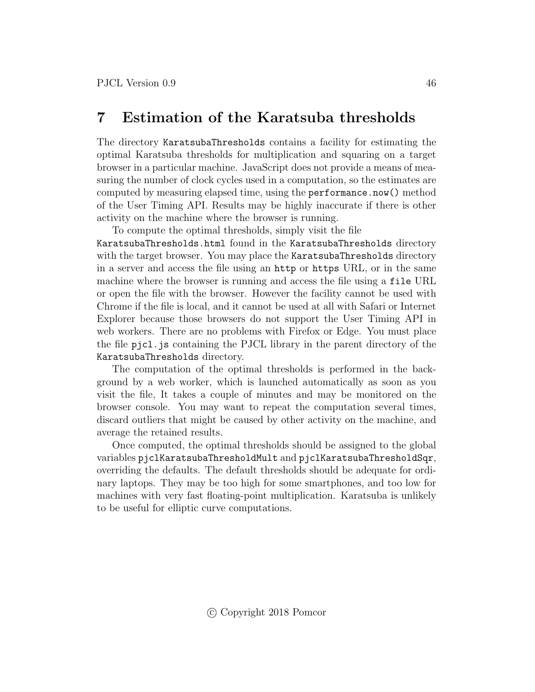# <span id="page-45-0"></span>7 Estimation of the Karatsuba thresholds

The directory KaratsubaThresholds contains a facility for estimating the optimal Karatsuba thresholds for multiplication and squaring on a target browser in a particular machine. JavaScript does not provide a means of measuring the number of clock cycles used in a computation, so the estimates are computed by measuring elapsed time, using the performance.now() method of the User Timing API. Results may be highly inaccurate if there is other activity on the machine where the browser is running.

To compute the optimal thresholds, simply visit the file

KaratsubaThresholds.html found in the KaratsubaThresholds directory with the target browser. You may place the KaratsubaThresholds directory in a server and access the file using an http or https URL, or in the same machine where the browser is running and access the file using a file URL or open the file with the browser. However the facility cannot be used with Chrome if the file is local, and it cannot be used at all with Safari or Internet Explorer because those browsers do not support the User Timing API in web workers. There are no problems with Firefox or Edge. You must place the file pjcl.js containing the PJCL library in the parent directory of the KaratsubaThresholds directory.

The computation of the optimal thresholds is performed in the background by a web worker, which is launched automatically as soon as you visit the file, It takes a couple of minutes and may be monitored on the browser console. You may want to repeat the computation several times, discard outliers that might be caused by other activity on the machine, and average the retained results.

Once computed, the optimal thresholds should be assigned to the global variables pjclKaratsubaThresholdMult and pjclKaratsubaThresholdSqr, overriding the defaults. The default thresholds should be adequate for ordinary laptops. They may be too high for some smartphones, and too low for machines with very fast floating-point multiplication. Karatsuba is unlikely to be useful for elliptic curve computations.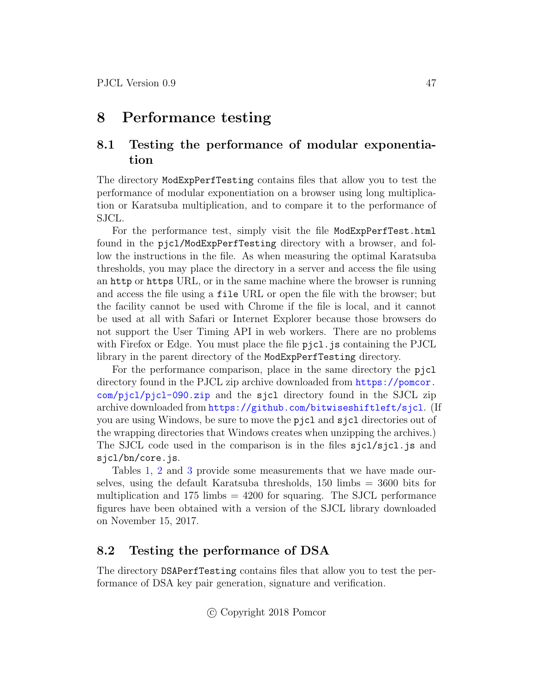# <span id="page-46-0"></span>8 Performance testing

# <span id="page-46-1"></span>8.1 Testing the performance of modular exponentiation

The directory ModExpPerfTesting contains files that allow you to test the performance of modular exponentiation on a browser using long multiplication or Karatsuba multiplication, and to compare it to the performance of SJCL.

For the performance test, simply visit the file ModExpPerfTest.html found in the pjcl/ModExpPerfTesting directory with a browser, and follow the instructions in the file. As when measuring the optimal Karatsuba thresholds, you may place the directory in a server and access the file using an http or https URL, or in the same machine where the browser is running and access the file using a file URL or open the file with the browser; but the facility cannot be used with Chrome if the file is local, and it cannot be used at all with Safari or Internet Explorer because those browsers do not support the User Timing API in web workers. There are no problems with Firefox or Edge. You must place the file  $pjcl$ , js containing the PJCL library in the parent directory of the ModExpPerfTesting directory.

For the performance comparison, place in the same directory the pjcl directory found in the PJCL zip archive downloaded from [https://pomcor.](https://pomcor.com/pjcl/pjcl-090.zip) [com/pjcl/pjcl-090.zip](https://pomcor.com/pjcl/pjcl-090.zip) and the sjcl directory found in the SJCL zip archive downloaded from <https://github.com/bitwiseshiftleft/sjcl>. (If you are using Windows, be sure to move the pjcl and sjcl directories out of the wrapping directories that Windows creates when unzipping the archives.) The SJCL code used in the comparison is in the files sjcl/sjcl.js and sjcl/bn/core.js.

Tables [1,](#page-47-0) [2](#page-47-1) and [3](#page-47-2) provide some measurements that we have made ourselves, using the default Karatsuba thresholds, 150 limbs = 3600 bits for multiplication and  $175 \text{ limbs} = 4200$  for squaring. The SJCL performance figures have been obtained with a version of the SJCL library downloaded on November 15, 2017.

### <span id="page-46-2"></span>8.2 Testing the performance of DSA

The directory DSAPerfTesting contains files that allow you to test the performance of DSA key pair generation, signature and verification.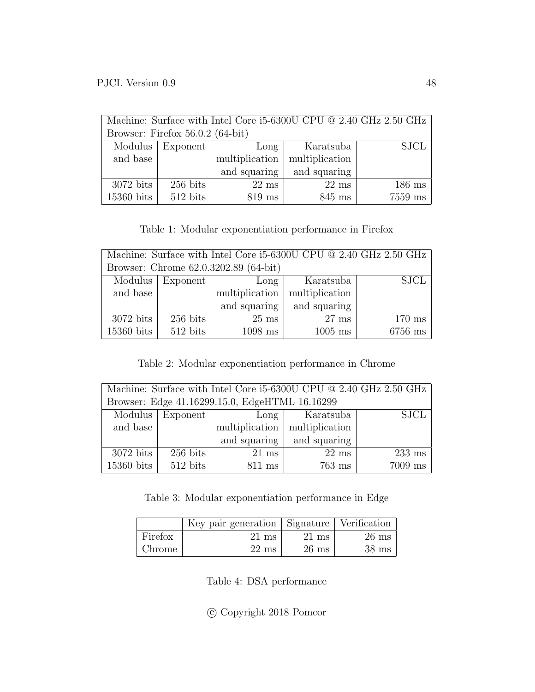<span id="page-47-0"></span>

| Machine: Surface with Intel Core i5-6300U CPU @ 2.40 GHz 2.50 GHz |            |                 |                 |          |  |
|-------------------------------------------------------------------|------------|-----------------|-----------------|----------|--|
| Browser: Firefox $56.0.2$ (64-bit)                                |            |                 |                 |          |  |
| <b>SJCL</b><br>Modulus<br>Karatsuba<br>Exponent<br>Long           |            |                 |                 |          |  |
| and base                                                          |            | multiplication  | multiplication  |          |  |
|                                                                   |            | and squaring    | and squaring    |          |  |
| $3072$ bits                                                       | $256$ bits | $22 \text{ ms}$ | $22 \text{ ms}$ | $186$ ms |  |
| $15360$ bits                                                      | $512$ bits | $819$ ms        | 845 ms          | 7559 ms  |  |

### Table 1: Modular exponentiation performance in Firefox

<span id="page-47-1"></span>

| Machine: Surface with Intel Core i5-6300U CPU @ 2.40 GHz 2.50 GHz    |            |                 |                |           |  |
|----------------------------------------------------------------------|------------|-----------------|----------------|-----------|--|
| Browser: Chrome 62.0.3202.89 (64-bit)                                |            |                 |                |           |  |
| Modulus<br><b>SJCL</b><br>Exponent<br>Karatsuba<br>Long <sub>l</sub> |            |                 |                |           |  |
| and base                                                             |            | multiplication  | multiplication |           |  |
|                                                                      |            | and squaring    | and squaring   |           |  |
| $3072$ bits                                                          | $256$ bits | $25 \text{ ms}$ | $27$ ms        | $170$ ms  |  |
| 15360 bits                                                           | $512$ bits | $1098$ ms       | $1005$ ms      | $6756$ ms |  |

### Table 2: Modular exponentiation performance in Chrome

<span id="page-47-2"></span>

| Machine: Surface with Intel Core i5-6300U CPU $@$ 2.40 GHz 2.50 GHz |            |                 |                 |           |  |
|---------------------------------------------------------------------|------------|-----------------|-----------------|-----------|--|
| Browser: Edge 41.16299.15.0, EdgeHTML 16.16299                      |            |                 |                 |           |  |
| Modulus<br><b>SJCL</b><br>Exponent  <br>Karatsuba<br>$Long \mid$    |            |                 |                 |           |  |
| and base                                                            |            | multiplication  | multiplication  |           |  |
|                                                                     |            | and squaring    | and squaring    |           |  |
| $3072$ bits                                                         | $256$ bits | $21 \text{ ms}$ | $22 \text{ ms}$ | $233$ ms  |  |
| 15360 bits                                                          | $512$ bits | $811$ ms        | $763$ ms        | $7009$ ms |  |

Table 3: Modular exponentiation performance in Edge

<span id="page-47-3"></span>

|         | Key pair generation   Signature   Verification |                 |                 |
|---------|------------------------------------------------|-----------------|-----------------|
| Firefox | 21 ms                                          | $21 \text{ ms}$ | $26 \text{ ms}$ |
| Chrome  | $22 \text{ ms}$                                | $26 \text{ ms}$ | $38 \text{ ms}$ |

Table 4: DSA performance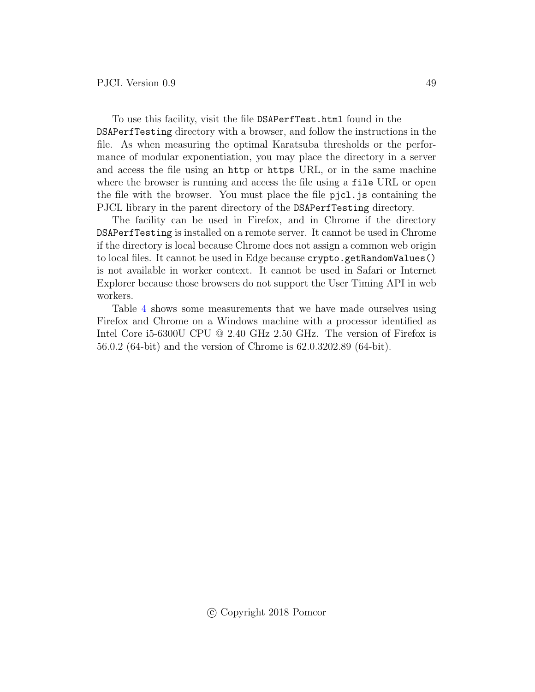To use this facility, visit the file DSAPerfTest.html found in the DSAPerfTesting directory with a browser, and follow the instructions in the file. As when measuring the optimal Karatsuba thresholds or the performance of modular exponentiation, you may place the directory in a server and access the file using an http or https URL, or in the same machine where the browser is running and access the file using a file URL or open the file with the browser. You must place the file pjcl.js containing the PJCL library in the parent directory of the DSAPerfTesting directory.

The facility can be used in Firefox, and in Chrome if the directory DSAPerfTesting is installed on a remote server. It cannot be used in Chrome if the directory is local because Chrome does not assign a common web origin to local files. It cannot be used in Edge because crypto.getRandomValues() is not available in worker context. It cannot be used in Safari or Internet Explorer because those browsers do not support the User Timing API in web workers.

Table [4](#page-47-3) shows some measurements that we have made ourselves using Firefox and Chrome on a Windows machine with a processor identified as Intel Core i5-6300U CPU @ 2.40 GHz 2.50 GHz. The version of Firefox is 56.0.2 (64-bit) and the version of Chrome is 62.0.3202.89 (64-bit).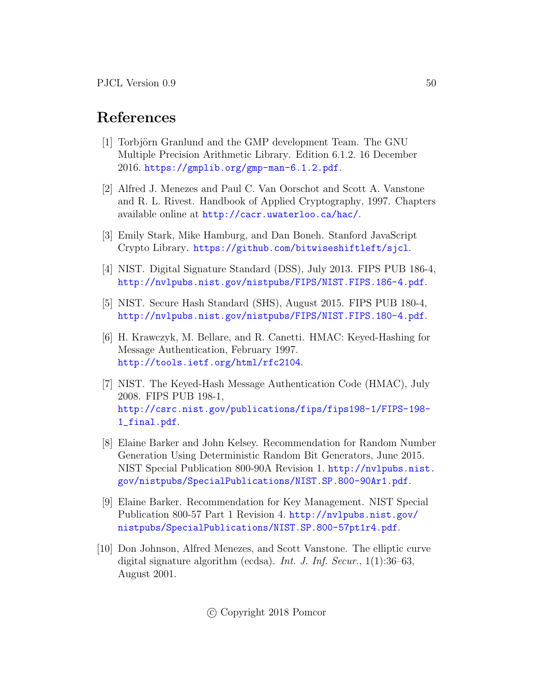# References

- <span id="page-49-0"></span>[1] Torbjörn Granlund and the GMP development Team. The GNU Multiple Precision Arithmetic Library. Edition 6.1.2. 16 December 2016. <https://gmplib.org/gmp-man-6.1.2.pdf>.
- <span id="page-49-1"></span>[2] Alfred J. Menezes and Paul C. Van Oorschot and Scott A. Vanstone and R. L. Rivest. Handbook of Applied Cryptography, 1997. Chapters available online at <http://cacr.uwaterloo.ca/hac/>.
- <span id="page-49-2"></span>[3] Emily Stark, Mike Hamburg, and Dan Boneh. Stanford JavaScript Crypto Library. <https://github.com/bitwiseshiftleft/sjcl>.
- <span id="page-49-3"></span>[4] NIST. Digital Signature Standard (DSS), July 2013. FIPS PUB 186-4, <http://nvlpubs.nist.gov/nistpubs/FIPS/NIST.FIPS.186-4.pdf>.
- <span id="page-49-4"></span>[5] NIST. Secure Hash Standard (SHS), August 2015. FIPS PUB 180-4, <http://nvlpubs.nist.gov/nistpubs/FIPS/NIST.FIPS.180-4.pdf>.
- <span id="page-49-5"></span>[6] H. Krawczyk, M. Bellare, and R. Canetti. HMAC: Keyed-Hashing for Message Authentication, February 1997. <http://tools.ietf.org/html/rfc2104>.
- <span id="page-49-6"></span>[7] NIST. The Keyed-Hash Message Authentication Code (HMAC), July 2008. FIPS PUB 198-1, [http://csrc.nist.gov/publications/fips/fips198-1/FIPS-198-](http://csrc.nist.gov/publications/fips/fips198-1/FIPS-198-1_final.pdf) [1\\_final.pdf](http://csrc.nist.gov/publications/fips/fips198-1/FIPS-198-1_final.pdf).
- <span id="page-49-7"></span>[8] Elaine Barker and John Kelsey. Recommendation for Random Number Generation Using Deterministic Random Bit Generators, June 2015. NIST Special Publication 800-90A Revision 1. [http://nvlpubs.nist.](http://nvlpubs.nist.gov/nistpubs/SpecialPublications/NIST.SP.800-90Ar1.pdf) [gov/nistpubs/SpecialPublications/NIST.SP.800-90Ar1.pdf](http://nvlpubs.nist.gov/nistpubs/SpecialPublications/NIST.SP.800-90Ar1.pdf).
- <span id="page-49-8"></span>[9] Elaine Barker. Recommendation for Key Management. NIST Special Publication 800-57 Part 1 Revision 4. [http://nvlpubs.nist.gov/](http://nvlpubs.nist.gov/nistpubs/SpecialPublications/NIST.SP.800-57pt1r4.pdf) [nistpubs/SpecialPublications/NIST.SP.800-57pt1r4.pdf](http://nvlpubs.nist.gov/nistpubs/SpecialPublications/NIST.SP.800-57pt1r4.pdf).
- <span id="page-49-9"></span>[10] Don Johnson, Alfred Menezes, and Scott Vanstone. The elliptic curve digital signature algorithm (ecdsa). Int. J. Inf. Secur., 1(1):36–63, August 2001.